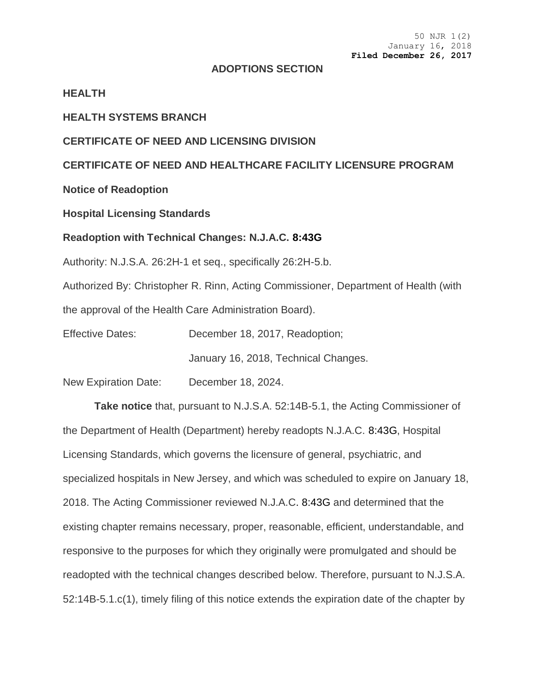#### **ADOPTIONS SECTION**

### **HEALTH**

## **HEALTH SYSTEMS BRANCH**

## **CERTIFICATE OF NEED AND LICENSING DIVISION**

## **CERTIFICATE OF NEED AND HEALTHCARE FACILITY LICENSURE PROGRAM**

**Notice of Readoption**

### **Hospital Licensing Standards**

#### **Readoption with Technical Changes: N.J.A.C. 8:43G**

Authority: N.J.S.A. 26:2H-1 et seq., specifically 26:2H-5.b.

Authorized By: Christopher R. Rinn, Acting Commissioner, Department of Health (with the approval of the Health Care Administration Board).

Effective Dates: December 18, 2017, Readoption;

January 16, 2018, Technical Changes.

New Expiration Date: December 18, 2024.

**Take notice** that, pursuant to N.J.S.A. 52:14B-5.1, the Acting Commissioner of the Department of Health (Department) hereby readopts N.J.A.C. 8:43G, Hospital Licensing Standards, which governs the licensure of general, psychiatric, and specialized hospitals in New Jersey, and which was scheduled to expire on January 18, 2018. The Acting Commissioner reviewed N.J.A.C. 8:43G and determined that the existing chapter remains necessary, proper, reasonable, efficient, understandable, and responsive to the purposes for which they originally were promulgated and should be readopted with the technical changes described below. Therefore, pursuant to N.J.S.A. 52:14B-5.1.c(1), timely filing of this notice extends the expiration date of the chapter by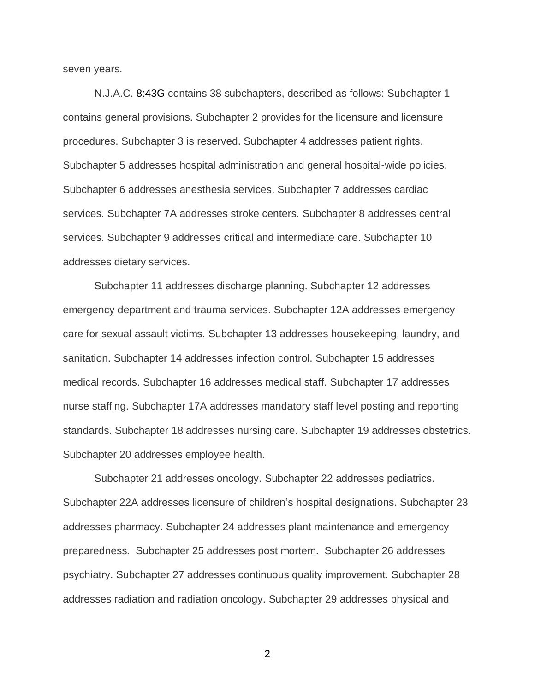seven years.

N.J.A.C. 8:43G contains 38 subchapters, described as follows: Subchapter 1 contains general provisions. Subchapter 2 provides for the licensure and licensure procedures. Subchapter 3 is reserved. Subchapter 4 addresses patient rights. Subchapter 5 addresses hospital administration and general hospital-wide policies. Subchapter 6 addresses anesthesia services. Subchapter 7 addresses cardiac services. Subchapter 7A addresses stroke centers. Subchapter 8 addresses central services. Subchapter 9 addresses critical and intermediate care. Subchapter 10 addresses dietary services.

Subchapter 11 addresses discharge planning. Subchapter 12 addresses emergency department and trauma services. Subchapter 12A addresses emergency care for sexual assault victims. Subchapter 13 addresses housekeeping, laundry, and sanitation. Subchapter 14 addresses infection control. Subchapter 15 addresses medical records. Subchapter 16 addresses medical staff. Subchapter 17 addresses nurse staffing. Subchapter 17A addresses mandatory staff level posting and reporting standards. Subchapter 18 addresses nursing care. Subchapter 19 addresses obstetrics. Subchapter 20 addresses employee health.

Subchapter 21 addresses oncology. Subchapter 22 addresses pediatrics. Subchapter 22A addresses licensure of children's hospital designations. Subchapter 23 addresses pharmacy. Subchapter 24 addresses plant maintenance and emergency preparedness. Subchapter 25 addresses post mortem. Subchapter 26 addresses psychiatry. Subchapter 27 addresses continuous quality improvement. Subchapter 28 addresses radiation and radiation oncology. Subchapter 29 addresses physical and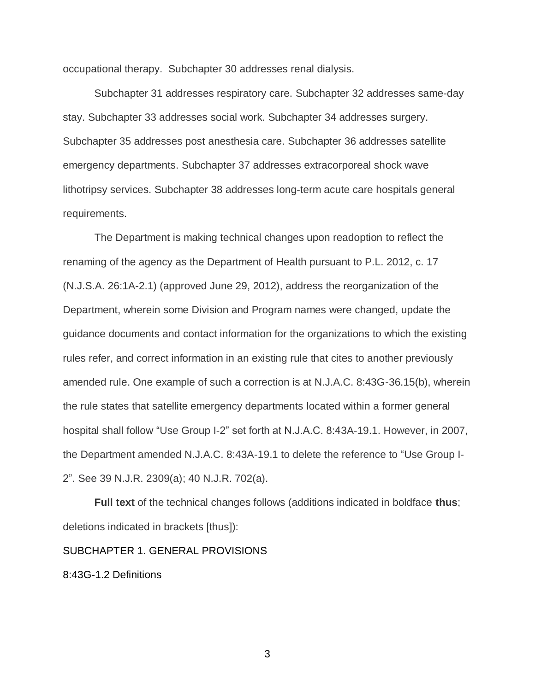occupational therapy. Subchapter 30 addresses renal dialysis.

Subchapter 31 addresses respiratory care. Subchapter 32 addresses same-day stay. Subchapter 33 addresses social work. Subchapter 34 addresses surgery. Subchapter 35 addresses post anesthesia care. Subchapter 36 addresses satellite emergency departments. Subchapter 37 addresses extracorporeal shock wave lithotripsy services. Subchapter 38 addresses long-term acute care hospitals general requirements.

The Department is making technical changes upon readoption to reflect the renaming of the agency as the Department of Health pursuant to P.L. 2012, c. 17 (N.J.S.A. 26:1A-2.1) (approved June 29, 2012), address the reorganization of the Department, wherein some Division and Program names were changed, update the guidance documents and contact information for the organizations to which the existing rules refer, and correct information in an existing rule that cites to another previously amended rule. One example of such a correction is at N.J.A.C. 8:43G-36.15(b), wherein the rule states that satellite emergency departments located within a former general hospital shall follow "Use Group I-2" set forth at N.J.A.C. 8:43A-19.1. However, in 2007, the Department amended N.J.A.C. 8:43A-19.1 to delete the reference to "Use Group I-2". See 39 N.J.R. 2309(a); 40 N.J.R. 702(a).

**Full text** of the technical changes follows (additions indicated in boldface **thus**; deletions indicated in brackets [thus]):

#### SUBCHAPTER 1. GENERAL PROVISIONS

8:43G-1.2 Definitions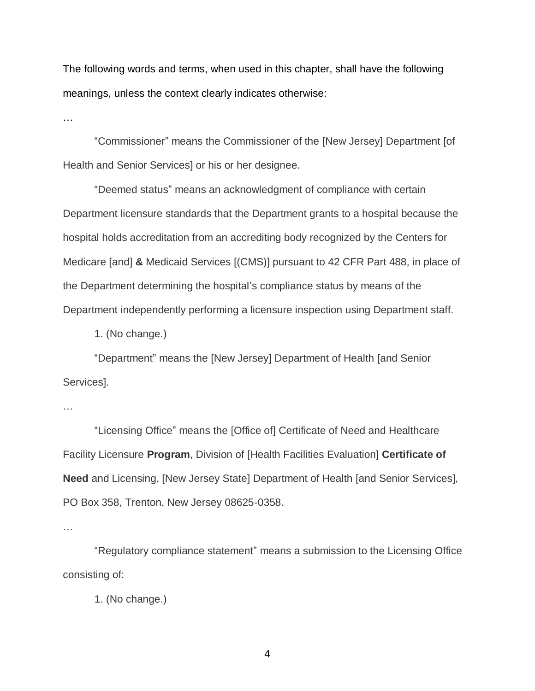The following words and terms, when used in this chapter, shall have the following meanings, unless the context clearly indicates otherwise:

…

"Commissioner" means the Commissioner of the [New Jersey] Department [of Health and Senior Services] or his or her designee.

"Deemed status" means an acknowledgment of compliance with certain Department licensure standards that the Department grants to a hospital because the hospital holds accreditation from an accrediting body recognized by the Centers for Medicare [and] **&** Medicaid Services [(CMS)] pursuant to 42 CFR Part 488, in place of the Department determining the hospital's compliance status by means of the Department independently performing a licensure inspection using Department staff.

1. (No change.)

"Department" means the [New Jersey] Department of Health [and Senior Services].

…

"Licensing Office" means the [Office of] Certificate of Need and Healthcare Facility Licensure **Program**, Division of [Health Facilities Evaluation] **Certificate of Need** and Licensing, [New Jersey State] Department of Health [and Senior Services], PO Box 358, Trenton, New Jersey 08625-0358.

…

"Regulatory compliance statement" means a submission to the Licensing Office consisting of:

1. (No change.)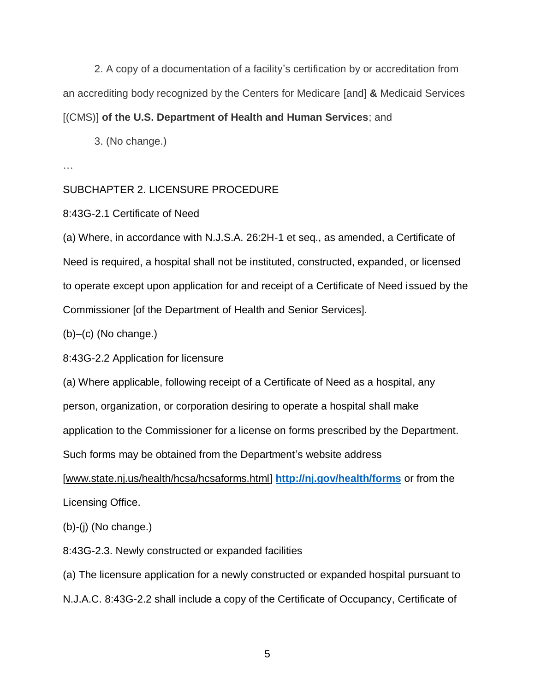2. A copy of a documentation of a facility's certification by or accreditation from an accrediting body recognized by the Centers for Medicare [and] **&** Medicaid Services [(CMS)] **of the U.S. Department of Health and Human Services**; and

3. (No change.)

…

# SUBCHAPTER 2. LICENSURE PROCEDURE

8:43G-2.1 Certificate of Need

(a) Where, in accordance with N.J.S.A. 26:2H-1 et seq., as amended, a Certificate of Need is required, a hospital shall not be instituted, constructed, expanded, or licensed to operate except upon application for and receipt of a Certificate of Need issued by the Commissioner [of the Department of Health and Senior Services].

(b)–(c) (No change.)

8:43G-2.2 Application for licensure

(a) Where applicable, following receipt of a Certificate of Need as a hospital, any

person, organization, or corporation desiring to operate a hospital shall make

application to the Commissioner for a license on forms prescribed by the Department.

Such forms may be obtained from the Department's website address

[www.state.nj.us/health/hcsa/hcsaforms.html] **[http://nj.gov/health/forms](https://healthapps.state.nj.us/forms/subforms.aspx?pro=healthfacilities)** or from the Licensing Office.

(b)-(j) (No change.)

8:43G-2.3. Newly constructed or expanded facilities

(a) The licensure application for a newly constructed or expanded hospital pursuant to N.J.A.C. 8:43G-2.2 shall include a copy of the Certificate of Occupancy, Certificate of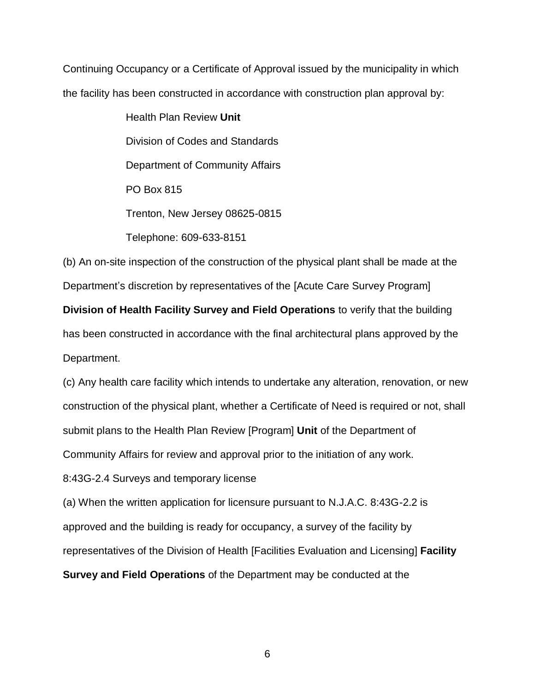Continuing Occupancy or a Certificate of Approval issued by the municipality in which the facility has been constructed in accordance with construction plan approval by:

> Health Plan Review **Unit** Division of Codes and Standards Department of Community Affairs PO Box 815 Trenton, New Jersey 08625-0815 Telephone: 609-633-8151

(b) An on-site inspection of the construction of the physical plant shall be made at the Department's discretion by representatives of the [Acute Care Survey Program] **Division of Health Facility Survey and Field Operations** to verify that the building has been constructed in accordance with the final architectural plans approved by the Department.

(c) Any health care facility which intends to undertake any alteration, renovation, or new construction of the physical plant, whether a Certificate of Need is required or not, shall submit plans to the Health Plan Review [Program] **Unit** of the Department of Community Affairs for review and approval prior to the initiation of any work.

8:43G-2.4 Surveys and temporary license

(a) When the written application for licensure pursuant to N.J.A.C. 8:43G-2.2 is approved and the building is ready for occupancy, a survey of the facility by representatives of the Division of Health [Facilities Evaluation and Licensing] **Facility** 

**Survey and Field Operations** of the Department may be conducted at the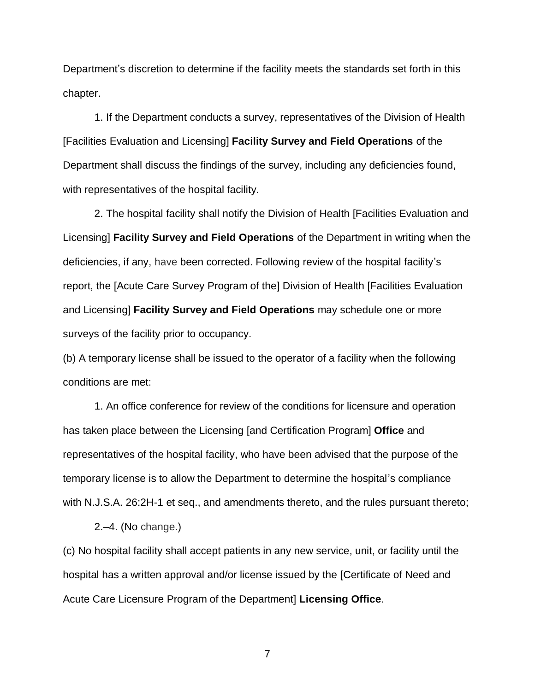Department's discretion to determine if the facility meets the standards set forth in this chapter.

1. If the Department conducts a survey, representatives of the Division of Health [Facilities Evaluation and Licensing] **Facility Survey and Field Operations** of the Department shall discuss the findings of the survey, including any deficiencies found, with representatives of the hospital facility.

2. The hospital facility shall notify the Division of Health [Facilities Evaluation and Licensing] **Facility Survey and Field Operations** of the Department in writing when the deficiencies, if any, have been corrected. Following review of the hospital facility's report, the [Acute Care Survey Program of the] Division of Health [Facilities Evaluation and Licensing] **Facility Survey and Field Operations** may schedule one or more surveys of the facility prior to occupancy.

(b) A temporary license shall be issued to the operator of a facility when the following conditions are met:

1. An office conference for review of the conditions for licensure and operation has taken place between the Licensing [and Certification Program] **Office** and representatives of the hospital facility, who have been advised that the purpose of the temporary license is to allow the Department to determine the hospital's compliance with N.J.S.A. 26:2H-1 et seq., and amendments thereto, and the rules pursuant thereto;

2.–4. (No change.)

(c) No hospital facility shall accept patients in any new service, unit, or facility until the hospital has a written approval and/or license issued by the [Certificate of Need and Acute Care Licensure Program of the Department] **Licensing Office**.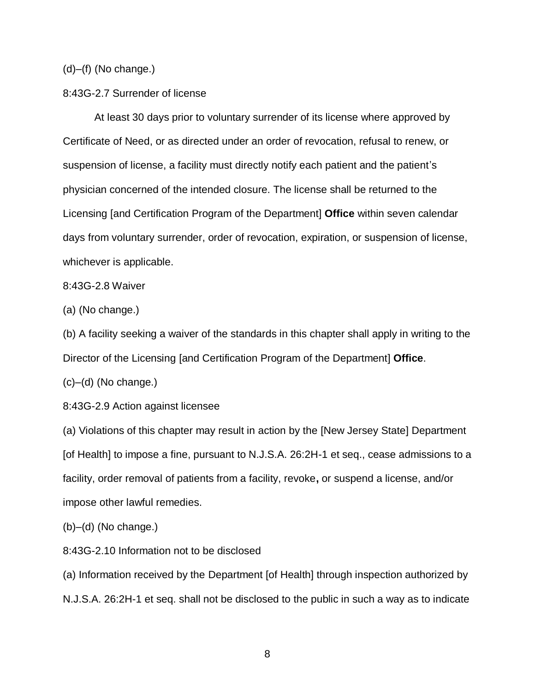(d)–(f) (No change.)

8:43G-2.7 Surrender of license

At least 30 days prior to voluntary surrender of its license where approved by Certificate of Need, or as directed under an order of revocation, refusal to renew, or suspension of license, a facility must directly notify each patient and the patient's physician concerned of the intended closure. The license shall be returned to the Licensing [and Certification Program of the Department] **Office** within seven calendar days from voluntary surrender, order of revocation, expiration, or suspension of license, whichever is applicable.

8:43G-2.8 Waiver

(a) (No change.)

(b) A facility seeking a waiver of the standards in this chapter shall apply in writing to the Director of the Licensing [and Certification Program of the Department] **Office**.

 $(c)$ – $(d)$  (No change.)

8:43G-2.9 Action against licensee

(a) Violations of this chapter may result in action by the [New Jersey State] Department [of Health] to impose a fine, pursuant to N.J.S.A. 26:2H-1 et seq., cease admissions to a facility, order removal of patients from a facility, revoke**,** or suspend a license, and/or impose other lawful remedies.

(b)–(d) (No change.)

8:43G-2.10 Information not to be disclosed

(a) Information received by the Department [of Health] through inspection authorized by N.J.S.A. 26:2H-1 et seq. shall not be disclosed to the public in such a way as to indicate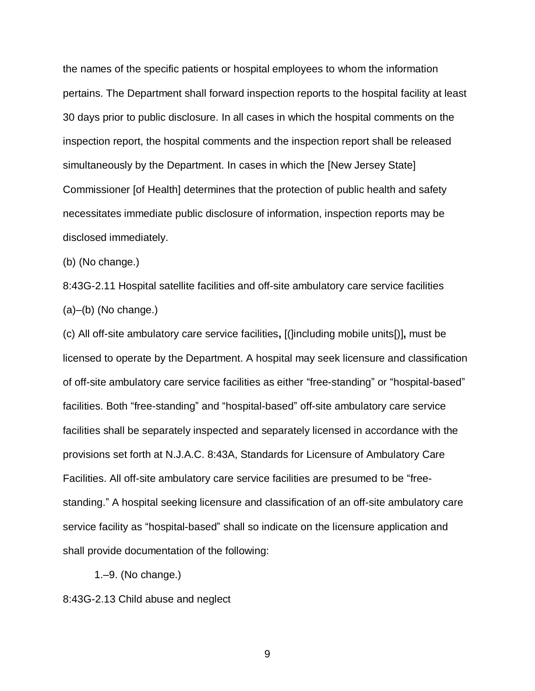the names of the specific patients or hospital employees to whom the information pertains. The Department shall forward inspection reports to the hospital facility at least 30 days prior to public disclosure. In all cases in which the hospital comments on the inspection report, the hospital comments and the inspection report shall be released simultaneously by the Department. In cases in which the [New Jersey State] Commissioner [of Health] determines that the protection of public health and safety necessitates immediate public disclosure of information, inspection reports may be disclosed immediately.

(b) (No change.)

8:43G-2.11 Hospital satellite facilities and off-site ambulatory care service facilities (a)–(b) (No change.)

(c) All off-site ambulatory care service facilities**,** [(]including mobile units[)]**,** must be licensed to operate by the Department. A hospital may seek licensure and classification of off-site ambulatory care service facilities as either "free-standing" or "hospital-based" facilities. Both "free-standing" and "hospital-based" off-site ambulatory care service facilities shall be separately inspected and separately licensed in accordance with the provisions set forth at N.J.A.C. 8:43A, Standards for Licensure of Ambulatory Care Facilities. All off-site ambulatory care service facilities are presumed to be "freestanding." A hospital seeking licensure and classification of an off-site ambulatory care service facility as "hospital-based" shall so indicate on the licensure application and shall provide documentation of the following:

1.–9. (No change.)

8:43G-2.13 Child abuse and neglect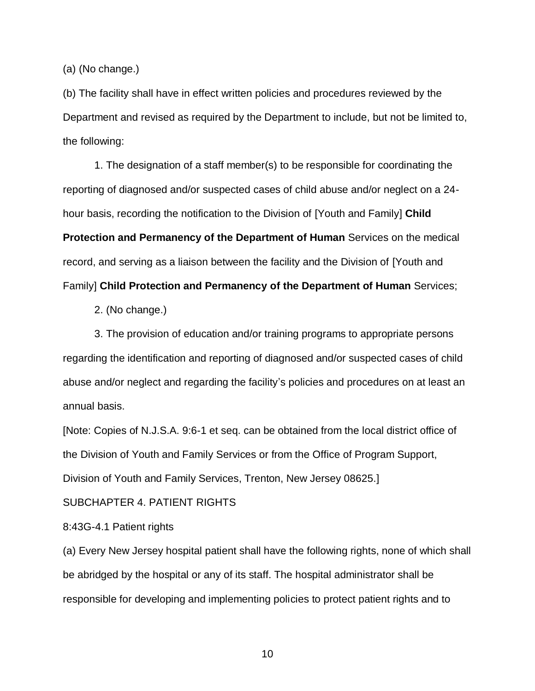(a) (No change.)

(b) The facility shall have in effect written policies and procedures reviewed by the Department and revised as required by the Department to include, but not be limited to, the following:

1. The designation of a staff member(s) to be responsible for coordinating the reporting of diagnosed and/or suspected cases of child abuse and/or neglect on a 24 hour basis, recording the notification to the Division of [Youth and Family] **Child Protection and Permanency of the Department of Human** Services on the medical record, and serving as a liaison between the facility and the Division of [Youth and Family] **Child Protection and Permanency of the Department of Human** Services;

2. (No change.)

3. The provision of education and/or training programs to appropriate persons regarding the identification and reporting of diagnosed and/or suspected cases of child abuse and/or neglect and regarding the facility's policies and procedures on at least an annual basis.

[Note: Copies of N.J.S.A. 9:6-1 et seq. can be obtained from the local district office of the Division of Youth and Family Services or from the Office of Program Support, Division of Youth and Family Services, Trenton, New Jersey 08625.]

SUBCHAPTER 4. PATIENT RIGHTS

8:43G-4.1 Patient rights

(a) Every New Jersey hospital patient shall have the following rights, none of which shall be abridged by the hospital or any of its staff. The hospital administrator shall be responsible for developing and implementing policies to protect patient rights and to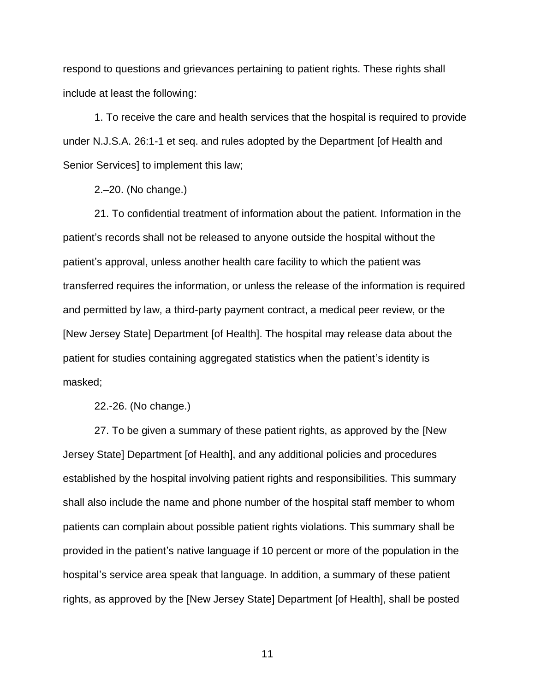respond to questions and grievances pertaining to patient rights. These rights shall include at least the following:

1. To receive the care and health services that the hospital is required to provide under N.J.S.A. 26:1-1 et seq. and rules adopted by the Department [of Health and Senior Services] to implement this law;

2.–20. (No change.)

21. To confidential treatment of information about the patient. Information in the patient's records shall not be released to anyone outside the hospital without the patient's approval, unless another health care facility to which the patient was transferred requires the information, or unless the release of the information is required and permitted by law, a third-party payment contract, a medical peer review, or the [New Jersey State] Department [of Health]. The hospital may release data about the patient for studies containing aggregated statistics when the patient's identity is masked;

22.-26. (No change.)

27. To be given a summary of these patient rights, as approved by the [New Jersey State] Department [of Health], and any additional policies and procedures established by the hospital involving patient rights and responsibilities. This summary shall also include the name and phone number of the hospital staff member to whom patients can complain about possible patient rights violations. This summary shall be provided in the patient's native language if 10 percent or more of the population in the hospital's service area speak that language. In addition, a summary of these patient rights, as approved by the [New Jersey State] Department [of Health], shall be posted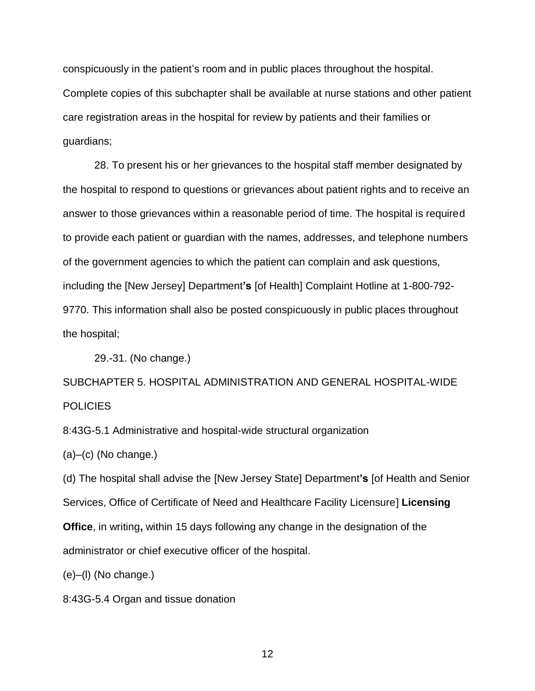conspicuously in the patient's room and in public places throughout the hospital. Complete copies of this subchapter shall be available at nurse stations and other patient care registration areas in the hospital for review by patients and their families or guardians;

28. To present his or her grievances to the hospital staff member designated by the hospital to respond to questions or grievances about patient rights and to receive an answer to those grievances within a reasonable period of time. The hospital is required to provide each patient or guardian with the names, addresses, and telephone numbers of the government agencies to which the patient can complain and ask questions, including the [New Jersey] Department**'s** [of Health] Complaint Hotline at 1-800-792- 9770. This information shall also be posted conspicuously in public places throughout the hospital;

29.-31. (No change.)

SUBCHAPTER 5. HOSPITAL ADMINISTRATION AND GENERAL HOSPITAL-WIDE POLICIES

8:43G-5.1 Administrative and hospital-wide structural organization

 $(a)$ – $(c)$  (No change.)

(d) The hospital shall advise the [New Jersey State] Department**'s** [of Health and Senior Services, Office of Certificate of Need and Healthcare Facility Licensure] **Licensing Office**, in writing**,** within 15 days following any change in the designation of the administrator or chief executive officer of the hospital.

(e)–(l) (No change.)

8:43G-5.4 Organ and tissue donation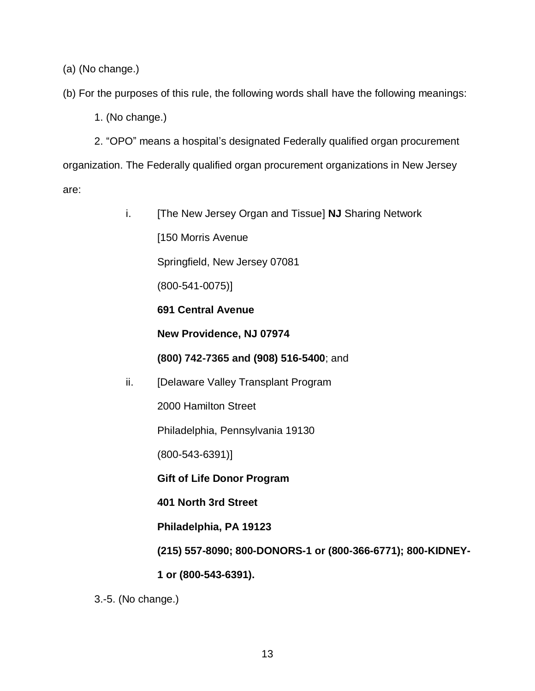(a) (No change.)

(b) For the purposes of this rule, the following words shall have the following meanings:

1. (No change.)

2. "OPO" means a hospital's designated Federally qualified organ procurement organization. The Federally qualified organ procurement organizations in New Jersey are:

> i. [The New Jersey Organ and Tissue] **NJ** Sharing Network [150 Morris Avenue Springfield, New Jersey 07081 (800-541-0075)] **691 Central Avenue New Providence, NJ 07974 (800) 742-7365 and (908) 516-5400**; and ii. [Delaware Valley Transplant Program 2000 Hamilton Street Philadelphia, Pennsylvania 19130 (800-543-6391)] **Gift of Life Donor Program 401 North 3rd Street Philadelphia, PA 19123 (215) 557-8090; 800-DONORS-1 or (800-366-6771); 800-KIDNEY-**

**1 or (800-543-6391).**

3.-5. (No change.)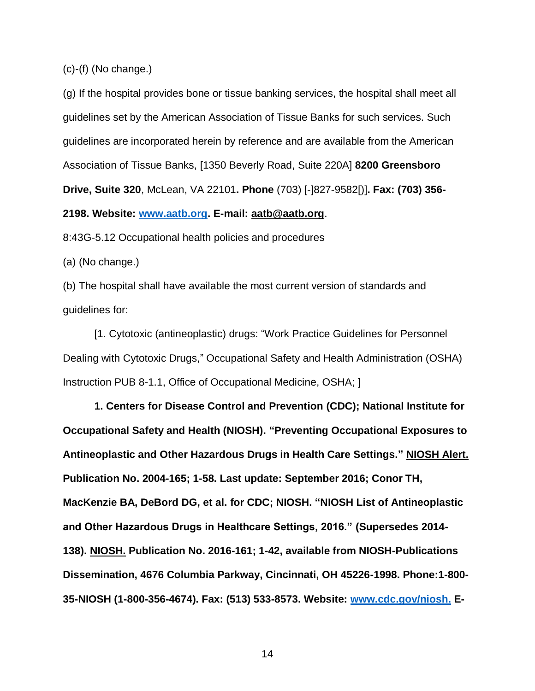(c)-(f) (No change.)

(g) If the hospital provides bone or tissue banking services, the hospital shall meet all guidelines set by the American Association of Tissue Banks for such services. Such guidelines are incorporated herein by reference and are available from the American Association of Tissue Banks, [1350 Beverly Road, Suite 220A] **8200 Greensboro Drive, Suite 320**, McLean, VA 22101**. Phone** (703) [-]827-9582[)]**. Fax: (703) 356- 2198. Website: [www.aatb.org.](http://www.aatb.org/) E-mail: aatb@aatb.org**.

8:43G-5.12 Occupational health policies and procedures

(a) (No change.)

(b) The hospital shall have available the most current version of standards and guidelines for:

[1. Cytotoxic (antineoplastic) drugs: "Work Practice Guidelines for Personnel Dealing with Cytotoxic Drugs," Occupational Safety and Health Administration (OSHA) Instruction PUB 8-1.1, Office of Occupational Medicine, OSHA; ]

**1. Centers for Disease Control and Prevention (CDC); National Institute for Occupational Safety and Health (NIOSH). "Preventing Occupational Exposures to Antineoplastic and Other Hazardous Drugs in Health Care Settings." NIOSH Alert. Publication No. 2004-165; 1-58. Last update: September 2016; Conor TH, MacKenzie BA, DeBord DG, et al. for CDC; NIOSH. "NIOSH List of Antineoplastic and Other Hazardous Drugs in Healthcare Settings, 2016." (Supersedes 2014- 138). NIOSH. Publication No. 2016-161; 1-42, available from NIOSH-Publications Dissemination, 4676 Columbia Parkway, Cincinnati, OH 45226-1998. Phone:1-800- 35-NIOSH (1-800-356-4674). Fax: (513) 533-8573. Website: [www.cdc.gov/niosh.](http://www.cdc.gov/niosh) E-**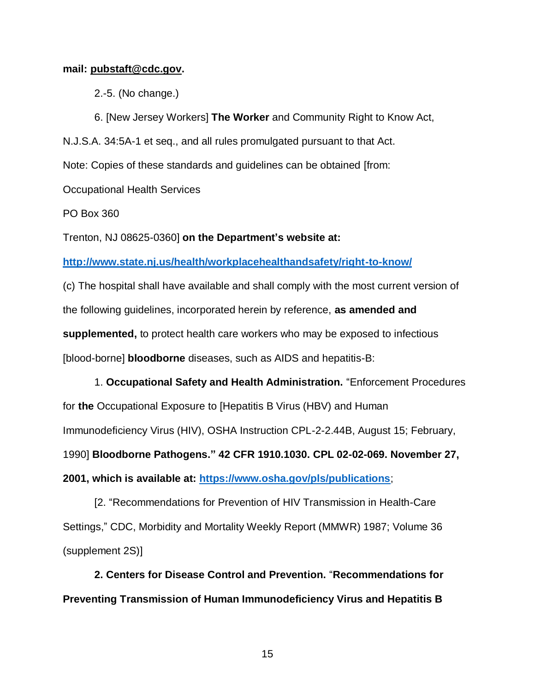#### **mail: pubstaft@cdc.gov.**

2.-5. (No change.)

6. [New Jersey Workers] **The Worker** and Community Right to Know Act, N.J.S.A. 34:5A-1 et seq., and all rules promulgated pursuant to that Act. Note: Copies of these standards and guidelines can be obtained [from: Occupational Health Services

PO Box 360

Trenton, NJ 08625-0360] **on the Department's website at:** 

**<http://www.state.nj.us/health/workplacehealthandsafety/right-to-know/>**

(c) The hospital shall have available and shall comply with the most current version of the following guidelines, incorporated herein by reference, **as amended and supplemented,** to protect health care workers who may be exposed to infectious [blood-borne] **bloodborne** diseases, such as AIDS and hepatitis-B:

1. **Occupational Safety and Health Administration.** "Enforcement Procedures for **the** Occupational Exposure to [Hepatitis B Virus (HBV) and Human Immunodeficiency Virus (HIV), OSHA Instruction CPL-2-2.44B, August 15; February, 1990] **Bloodborne Pathogens." 42 CFR 1910.1030. CPL 02-02-069. November 27, 2001, which is available at: <https://www.osha.gov/pls/publications>**;

[2. "Recommendations for Prevention of HIV Transmission in Health-Care Settings," CDC, Morbidity and Mortality Weekly Report (MMWR) 1987; Volume 36 (supplement 2S)]

**2. Centers for Disease Control and Prevention.** "**Recommendations for Preventing Transmission of Human Immunodeficiency Virus and Hepatitis B**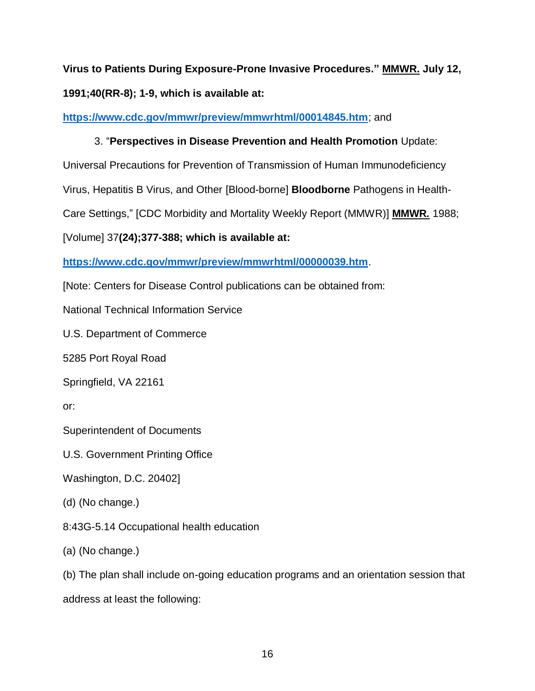**Virus to Patients During Exposure-Prone Invasive Procedures." MMWR. July 12, 1991;40(RR-8); 1-9, which is available at:**

**<https://www.cdc.gov/mmwr/preview/mmwrhtml/00014845.htm>**; and

# 3. "**Perspectives in Disease Prevention and Health Promotion** Update:

Universal Precautions for Prevention of Transmission of Human Immunodeficiency

Virus, Hepatitis B Virus, and Other [Blood-borne] **Bloodborne** Pathogens in Health-

Care Settings," [CDC Morbidity and Mortality Weekly Report (MMWR)] **MMWR***.* 1988;

[Volume] 37**(24);377-388; which is available at:** 

**<https://www.cdc.gov/mmwr/preview/mmwrhtml/00000039.htm>**.

[Note: Centers for Disease Control publications can be obtained from:

National Technical Information Service

U.S. Department of Commerce

5285 Port Royal Road

Springfield, VA 22161

or:

Superintendent of Documents

U.S. Government Printing Office

Washington, D.C. 20402]

(d) (No change.)

8:43G-5.14 Occupational health education

(a) (No change.)

(b) The plan shall include on-going education programs and an orientation session that

address at least the following: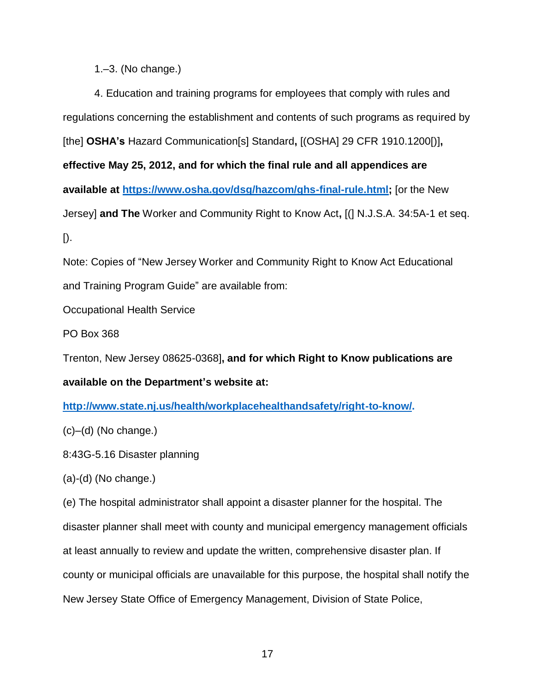1.–3. (No change.)

4. Education and training programs for employees that comply with rules and regulations concerning the establishment and contents of such programs as required by [the] **OSHA's** Hazard Communication[s] Standard**,** [(OSHA] 29 CFR 1910.1200[)]**, effective May 25, 2012, and for which the final rule and all appendices are available at [https://www.osha.gov/dsg/hazcom/ghs-final-rule.html;](https://www.osha.gov/dsg/hazcom/ghs-final-rule.html)** [or the New Jersey] **and The** Worker and Community Right to Know Act**,** [(] N.J.S.A. 34:5A-1 et seq. [).

Note: Copies of "New Jersey Worker and Community Right to Know Act Educational and Training Program Guide" are available from:

Occupational Health Service

PO Box 368

Trenton, New Jersey 08625-0368]**, and for which Right to Know publications are** 

**available on the Department's website at:** 

**[http://www.state.nj.us/health/workplacehealthandsafety/right-to-know/.](http://www.state.nj.us/health/workplacehealthandsafety/right-to-know/)**

 $(c)$ – $(d)$  (No change.)

8:43G-5.16 Disaster planning

(a)-(d) (No change.)

(e) The hospital administrator shall appoint a disaster planner for the hospital. The disaster planner shall meet with county and municipal emergency management officials at least annually to review and update the written, comprehensive disaster plan. If county or municipal officials are unavailable for this purpose, the hospital shall notify the New Jersey State Office of Emergency Management, Division of State Police,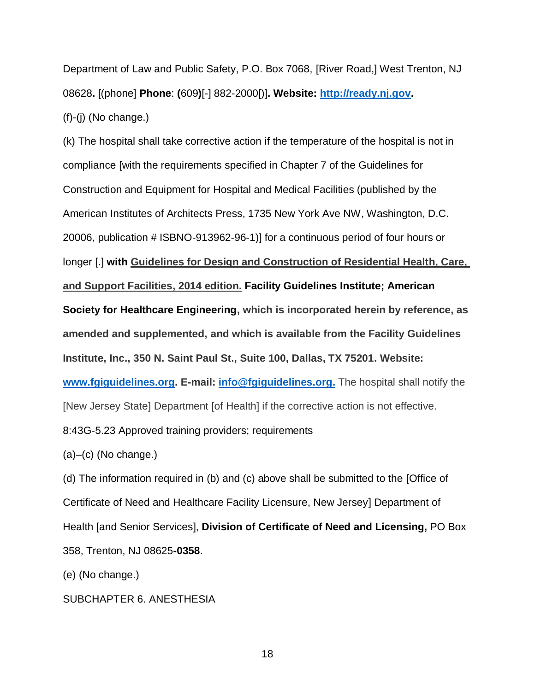Department of Law and Public Safety, P.O. Box 7068, [River Road,] West Trenton, NJ 08628**.** [(phone] **Phone**: **(**609**)**[-] 882-2000[)]**. Website: [http://ready.nj.gov.](http://ready.nj.gov/)**  $(f)-(i)$  (No change.)

(k) The hospital shall take corrective action if the temperature of the hospital is not in compliance [with the requirements specified in Chapter 7 of the Guidelines for Construction and Equipment for Hospital and Medical Facilities (published by the American Institutes of Architects Press, 1735 New York Ave NW, Washington, D.C. 20006, publication # ISBNO-913962-96-1)] for a continuous period of four hours or longer [.] **with Guidelines for Design and Construction of Residential Health, Care, and Support Facilities, 2014 edition. Facility Guidelines Institute; American Society for Healthcare Engineering, which is incorporated herein by reference, as amended and supplemented, and which is available from the Facility Guidelines Institute, Inc., 350 N. Saint Paul St., Suite 100, Dallas, TX 75201. Website: [www.fgiguidelines.org.](http://www.fgiguidelines.org/) E-mail: [info@fgiguidelines.org.](mailto:info@fgiguidelines.org)** The hospital shall notify the [New Jersey State] Department [of Health] if the corrective action is not effective. 8:43G-5.23 Approved training providers; requirements

 $(a)$ – $(c)$  (No change.)

(d) The information required in (b) and (c) above shall be submitted to the [Office of Certificate of Need and Healthcare Facility Licensure, New Jersey] Department of Health [and Senior Services], **Division of Certificate of Need and Licensing,** PO Box 358, Trenton, NJ 08625**-0358**.

(e) (No change.)

SUBCHAPTER 6. ANESTHESIA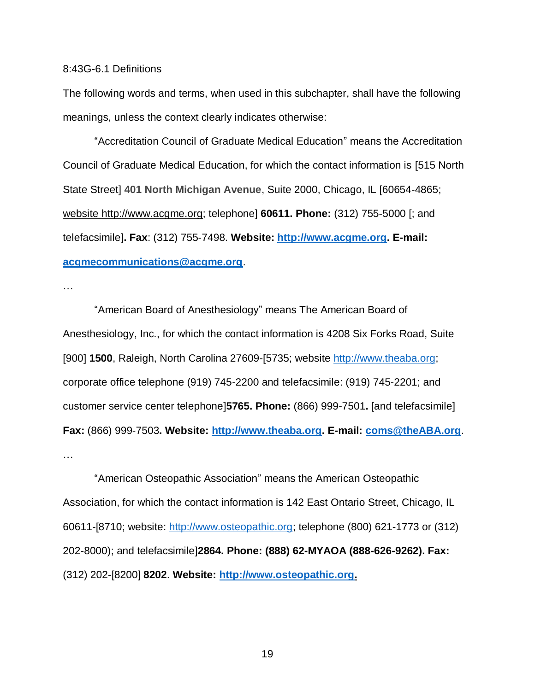#### 8:43G-6.1 Definitions

The following words and terms, when used in this subchapter, shall have the following meanings, unless the context clearly indicates otherwise:

"Accreditation Council of Graduate Medical Education" means the Accreditation Council of Graduate Medical Education, for which the contact information is [515 North State Street] **401 North Michigan Avenue**, Suite 2000, Chicago, IL [60654-4865; website http://www.acgme.org; telephone] **60611. Phone:** (312) 755-5000 [; and telefacsimile]**. Fax**: (312) 755-7498. **Website: [http://www.acgme.org.](http://www.acgme.org/) E-mail: [acgmecommunications@acgme.org](mailto:acgmecommunications@acgme.org)**.

…

"American Board of Anesthesiology" means The American Board of Anesthesiology, Inc., for which the contact information is 4208 Six Forks Road, Suite [900] **1500**, Raleigh, North Carolina 27609-[5735; website [http://www.theaba.org;](http://www.theaba.org/) corporate office telephone (919) 745-2200 and telefacsimile: (919) 745-2201; and customer service center telephone]**5765. Phone:** (866) 999-7501**.** [and telefacsimile] **Fax:** (866) 999-7503**. Website: [http://www.theaba.org.](http://www.theaba.org/) E-mail: [coms@theABA.org](mailto:coms@theABA.org)**. …

"American Osteopathic Association" means the American Osteopathic Association, for which the contact information is 142 East Ontario Street, Chicago, IL 60611-[8710; website: [http://www.osteopathic.org;](http://www.osteopathic.org/) telephone (800) 621-1773 or (312) 202-8000); and telefacsimile]**2864. Phone: (888) 62-MYAOA (888-626-9262). Fax:** (312) 202-[8200] **8202**. **Website: [http://www.osteopathic.org.](http://www.osteopathic.org/)**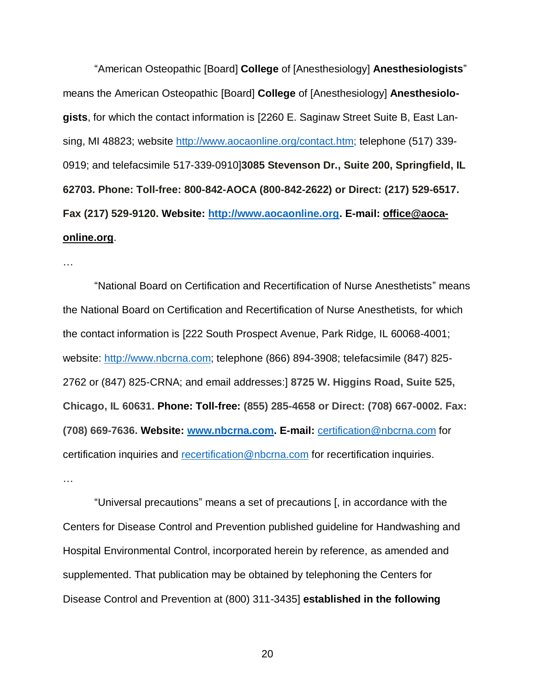"American Osteopathic [Board] **College** of [Anesthesiology] **Anesthesiologists**" means the American Osteopathic [Board] **College** of [Anesthesiology] **Anesthesiologists**, for which the contact information is [2260 E. Saginaw Street Suite B, East Lansing, MI 48823; website [http://www.aocaonline.org/contact.htm;](http://www.aocaonline.org/contact.htm) telephone (517) 339- 0919; and telefacsimile 517-339-0910]**3085 Stevenson Dr., Suite 200, Springfield, IL 62703. Phone: Toll-free: 800-842-AOCA (800-842-2622) or Direct: (217) 529-6517. Fax (217) 529-9120. Website: [http://www.aocaonline.org.](http://www.aocaonline.org/) E-mail: office@aocaonline.org**.

…

"National Board on Certification and Recertification of Nurse Anesthetists" means the National Board on Certification and Recertification of Nurse Anesthetists, for which the contact information is [222 South Prospect Avenue, Park Ridge, IL 60068-4001; website: [http://www.nbcrna.com;](http://www.nbcrna.com/) telephone (866) 894-3908; telefacsimile (847) 825- 2762 or (847) 825-CRNA; and email addresses:] **8725 W. Higgins Road, Suite 525, Chicago, IL 60631. Phone: Toll-free: (855) 285-4658 or Direct: (708) 667-0002. Fax: (708) 669-7636. Website: [www.nbcrna.com.](http://www.nbcrna.com/) E-mail:** [certification@nbcrna.com](mailto:certification@nbcrna.com) for certification inquiries and [recertification@nbcrna.com](mailto:recertification@nbcrna.com) for recertification inquiries. …

"Universal precautions" means a set of precautions [, in accordance with the Centers for Disease Control and Prevention published guideline for Handwashing and Hospital Environmental Control, incorporated herein by reference, as amended and supplemented. That publication may be obtained by telephoning the Centers for Disease Control and Prevention at (800) 311-3435] **established in the following**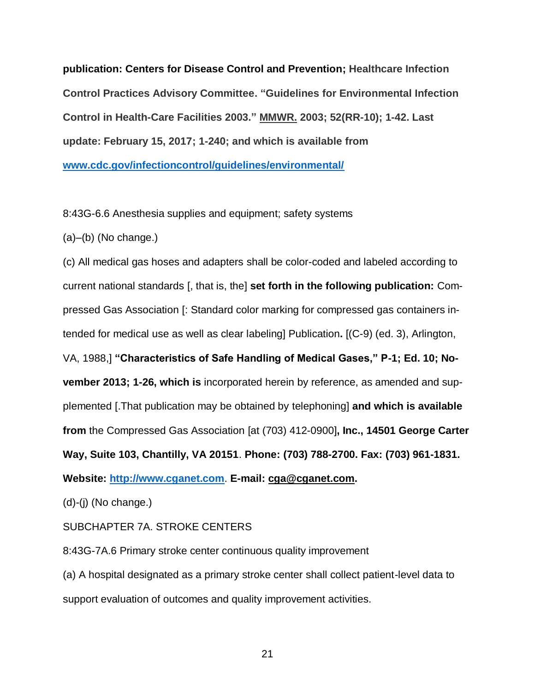**publication: Centers for Disease Control and Prevention; Healthcare Infection Control Practices Advisory Committee. "Guidelines for Environmental Infection Control in Health-Care Facilities 2003." MMWR. 2003; 52(RR-10); 1-42. Last update: February 15, 2017; 1-240; and which is available from [www.cdc.gov/infectioncontrol/guidelines/environmental/](https://www.cdc.gov/infectioncontrol/guidelines/environmental/)**

8:43G-6.6 Anesthesia supplies and equipment; safety systems

(a)–(b) (No change.)

(c) All medical gas hoses and adapters shall be color-coded and labeled according to current national standards [, that is, the] **set forth in the following publication:** Compressed Gas Association [: Standard color marking for compressed gas containers intended for medical use as well as clear labeling] Publication**.** [(C-9) (ed. 3), Arlington, VA, 1988,] **"Characteristics of Safe Handling of Medical Gases," P-1; Ed. 10; November 2013; 1-26, which is** incorporated herein by reference, as amended and supplemented [.That publication may be obtained by telephoning] **and which is available from** the Compressed Gas Association [at (703) 412-0900]**, Inc., 14501 George Carter Way, Suite 103, Chantilly, VA 20151**. **Phone: (703) 788-2700. Fax: (703) 961-1831. Website: [http://www.cganet.com](http://www.cganet.com/)**. **E-mail: cga@cganet.com.**

(d)-(j) (No change.)

SUBCHAPTER 7A. STROKE CENTERS

8:43G-7A.6 Primary stroke center continuous quality improvement

(a) A hospital designated as a primary stroke center shall collect patient-level data to support evaluation of outcomes and quality improvement activities.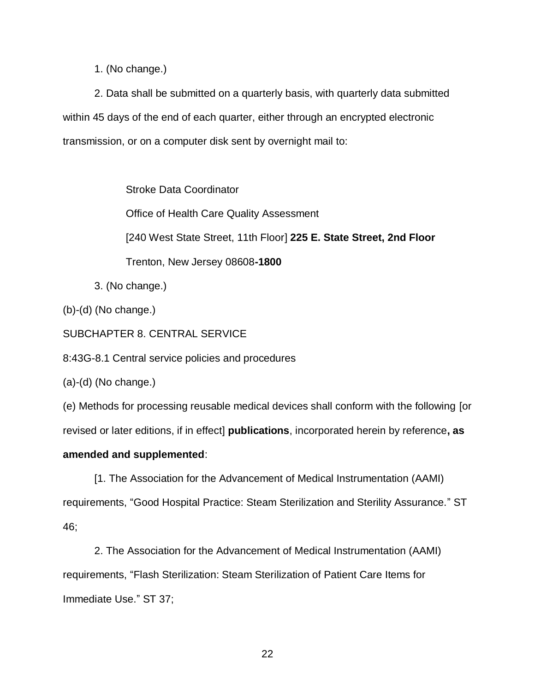1. (No change.)

2. Data shall be submitted on a quarterly basis, with quarterly data submitted within 45 days of the end of each quarter, either through an encrypted electronic transmission, or on a computer disk sent by overnight mail to:

Stroke Data Coordinator

Office of Health Care Quality Assessment

[240 West State Street, 11th Floor] **225 E. State Street, 2nd Floor**

Trenton, New Jersey 08608**-1800**

3. (No change.)

(b)-(d) (No change.)

SUBCHAPTER 8. CENTRAL SERVICE

8:43G-8.1 Central service policies and procedures

(a)-(d) (No change.)

(e) Methods for processing reusable medical devices shall conform with the following [or

revised or later editions, if in effect] **publications**, incorporated herein by reference**, as** 

# **amended and supplemented**:

[1. The Association for the Advancement of Medical Instrumentation (AAMI) requirements, "Good Hospital Practice: Steam Sterilization and Sterility Assurance." ST 46;

2. The Association for the Advancement of Medical Instrumentation (AAMI) requirements, "Flash Sterilization: Steam Sterilization of Patient Care Items for Immediate Use." ST 37;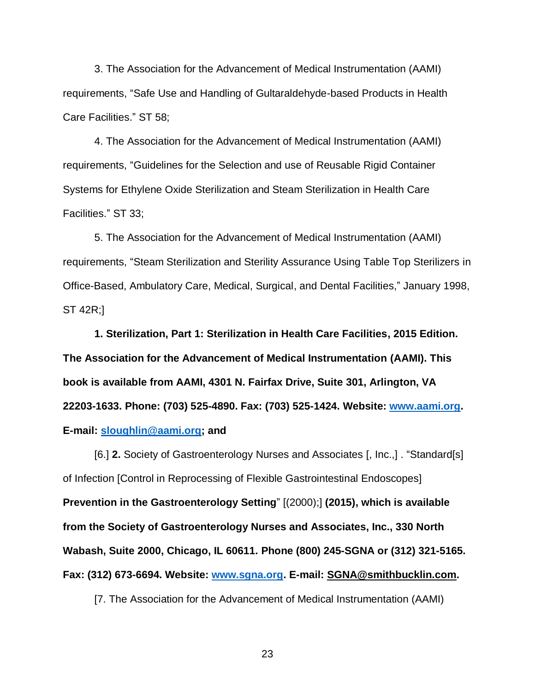3. The Association for the Advancement of Medical Instrumentation (AAMI) requirements, "Safe Use and Handling of Gultaraldehyde-based Products in Health Care Facilities." ST 58;

4. The Association for the Advancement of Medical Instrumentation (AAMI) requirements, "Guidelines for the Selection and use of Reusable Rigid Container Systems for Ethylene Oxide Sterilization and Steam Sterilization in Health Care Facilities." ST 33;

5. The Association for the Advancement of Medical Instrumentation (AAMI) requirements, "Steam Sterilization and Sterility Assurance Using Table Top Sterilizers in Office-Based, Ambulatory Care, Medical, Surgical, and Dental Facilities," January 1998, ST 42R;]

**1. Sterilization, Part 1: Sterilization in Health Care Facilities, 2015 Edition. The Association for the Advancement of Medical Instrumentation (AAMI). This book is available from AAMI, 4301 N. Fairfax Drive, Suite 301, Arlington, VA 22203-1633. Phone: (703) 525-4890. Fax: (703) 525-1424. Website: [www.aami.org.](http://www.aami.org/) E-mail: [sloughlin@aami.org;](mailto:sloughlin@aami.org) and**

[6.] **2.** Society of Gastroenterology Nurses and Associates [, Inc.,] . "Standard[s] of Infection [Control in Reprocessing of Flexible Gastrointestinal Endoscopes] **Prevention in the Gastroenterology Setting**" [(2000);] **(2015), which is available from the Society of Gastroenterology Nurses and Associates, Inc., 330 North Wabash, Suite 2000, Chicago, IL 60611. Phone (800) 245-SGNA or (312) 321-5165. Fax: (312) 673-6694. Website: [www.sgna.org.](http://www.sgna.org/) E-mail: SGNA@smithbucklin.com.**

[7. The Association for the Advancement of Medical Instrumentation (AAMI)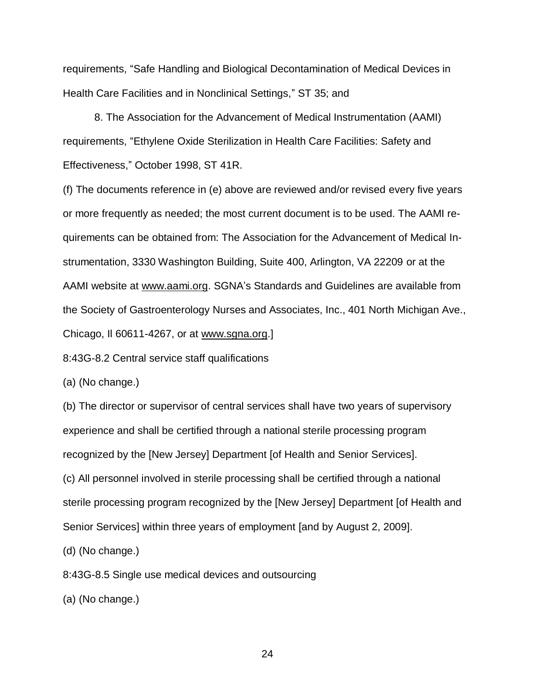requirements, "Safe Handling and Biological Decontamination of Medical Devices in Health Care Facilities and in Nonclinical Settings," ST 35; and

8. The Association for the Advancement of Medical Instrumentation (AAMI) requirements, "Ethylene Oxide Sterilization in Health Care Facilities: Safety and Effectiveness," October 1998, ST 41R.

(f) The documents reference in (e) above are reviewed and/or revised every five years or more frequently as needed; the most current document is to be used. The AAMI requirements can be obtained from: The Association for the Advancement of Medical Instrumentation, 3330 Washington Building, Suite 400, Arlington, VA 22209 or at the AAMI website at www.aami.org. SGNA's Standards and Guidelines are available from the Society of Gastroenterology Nurses and Associates, Inc., 401 North Michigan Ave., Chicago, Il 60611-4267, or at www.sgna.org.]

8:43G-8.2 Central service staff qualifications

(a) (No change.)

(b) The director or supervisor of central services shall have two years of supervisory experience and shall be certified through a national sterile processing program recognized by the [New Jersey] Department [of Health and Senior Services].

(c) All personnel involved in sterile processing shall be certified through a national sterile processing program recognized by the [New Jersey] Department [of Health and Senior Services] within three years of employment [and by August 2, 2009].

(d) (No change.)

8:43G-8.5 Single use medical devices and outsourcing

(a) (No change.)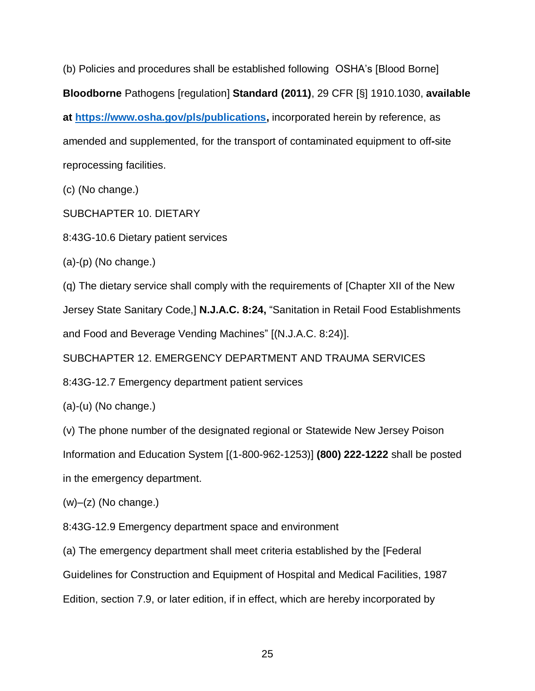(b) Policies and procedures shall be established following OSHA's [Blood Borne] **Bloodborne** Pathogens [regulation] **Standard (2011)**, 29 CFR [§] 1910.1030, **available at [https://www.osha.gov/pls/publications,](https://www.osha.gov/pls/publications)** incorporated herein by reference, as amended and supplemented, for the transport of contaminated equipment to off**-**site reprocessing facilities.

(c) (No change.)

SUBCHAPTER 10. DIETARY

8:43G-10.6 Dietary patient services

 $(a)-(p)$  (No change.)

(q) The dietary service shall comply with the requirements of [Chapter XII of the New Jersey State Sanitary Code,] **N.J.A.C. 8:24,** "Sanitation in Retail Food Establishments and Food and Beverage Vending Machines" [(N.J.A.C. 8:24)].

SUBCHAPTER 12. EMERGENCY DEPARTMENT AND TRAUMA SERVICES

8:43G-12.7 Emergency department patient services

(a)-(u) (No change.)

(v) The phone number of the designated regional or Statewide New Jersey Poison

Information and Education System [(1-800-962-1253)] **(800) 222-1222** shall be posted

in the emergency department.

 $(w)$ – $(z)$  (No change.)

8:43G-12.9 Emergency department space and environment

(a) The emergency department shall meet criteria established by the [Federal

Guidelines for Construction and Equipment of Hospital and Medical Facilities, 1987

Edition, section 7.9, or later edition, if in effect, which are hereby incorporated by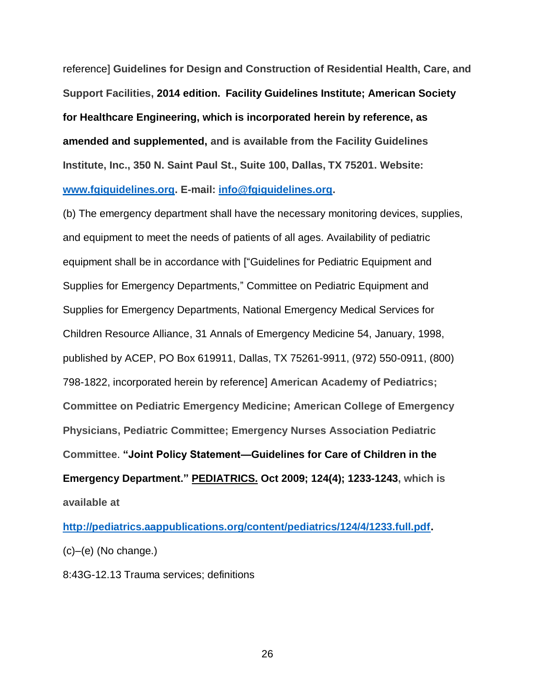reference] **Guidelines for Design and Construction of Residential Health, Care, and Support Facilities, 2014 edition. Facility Guidelines Institute; American Society for Healthcare Engineering, which is incorporated herein by reference, as amended and supplemented, and is available from the Facility Guidelines Institute, Inc., 350 N. Saint Paul St., Suite 100, Dallas, TX 75201. Website: [www.fgiguidelines.org.](http://www.fgiguidelines.org/) E-mail: [info@fgiguidelines.org.](mailto:info@fgiguidelines.org)**

(b) The emergency department shall have the necessary monitoring devices, supplies, and equipment to meet the needs of patients of all ages. Availability of pediatric equipment shall be in accordance with ["Guidelines for Pediatric Equipment and Supplies for Emergency Departments," Committee on Pediatric Equipment and Supplies for Emergency Departments, National Emergency Medical Services for Children Resource Alliance, 31 Annals of Emergency Medicine 54, January, 1998, published by ACEP, PO Box 619911, Dallas, TX 75261-9911, (972) 550-0911, (800) 798-1822, incorporated herein by reference] **American Academy of Pediatrics; Committee on Pediatric Emergency Medicine; American College of Emergency Physicians, Pediatric Committee; Emergency Nurses Association Pediatric Committee**. **"Joint Policy Statement—Guidelines for Care of Children in the Emergency Department." PEDIATRICS. Oct 2009; 124(4); 1233-1243, which is available at**

**[http://pediatrics.aappublications.org/content/pediatrics/124/4/1233.full.pdf.](http://pediatrics.aappublications.org/content/pediatrics/124/4/1233.full.pdf)** (c)–(e) (No change.)

8:43G-12.13 Trauma services; definitions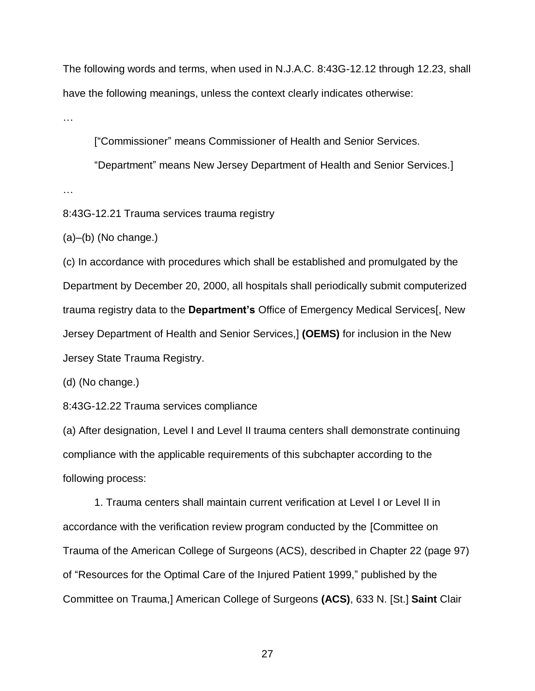The following words and terms, when used in N.J.A.C. 8:43G-12.12 through 12.23, shall have the following meanings, unless the context clearly indicates otherwise:

…

["Commissioner" means Commissioner of Health and Senior Services.

"Department" means New Jersey Department of Health and Senior Services.]

…

8:43G-12.21 Trauma services trauma registry

(a)–(b) (No change.)

(c) In accordance with procedures which shall be established and promulgated by the Department by December 20, 2000, all hospitals shall periodically submit computerized trauma registry data to the **Department's** Office of Emergency Medical Services[, New Jersey Department of Health and Senior Services,] **(OEMS)** for inclusion in the New Jersey State Trauma Registry.

(d) (No change.)

8:43G-12.22 Trauma services compliance

(a) After designation, Level I and Level II trauma centers shall demonstrate continuing compliance with the applicable requirements of this subchapter according to the following process:

1. Trauma centers shall maintain current verification at Level I or Level II in accordance with the verification review program conducted by the [Committee on Trauma of the American College of Surgeons (ACS), described in Chapter 22 (page 97) of "Resources for the Optimal Care of the Injured Patient 1999," published by the Committee on Trauma,] American College of Surgeons **(ACS)**, 633 N. [St.] **Saint** Clair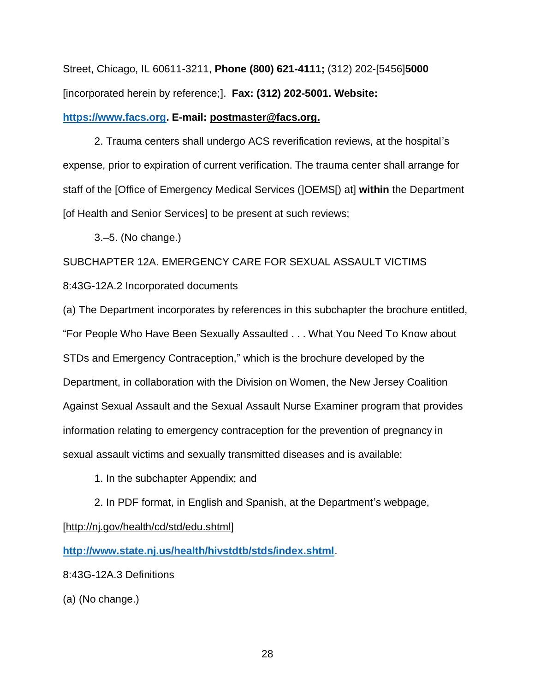Street, Chicago, IL 60611-3211, **Phone (800) 621-4111;** (312) 202-[5456]**5000** [incorporated herein by reference;]. **Fax: (312) 202-5001. Website:** 

## **[https://www.facs.org.](https://www.facs.org/) E-mail: postmaster@facs.org.**

2. Trauma centers shall undergo ACS reverification reviews, at the hospital's expense, prior to expiration of current verification. The trauma center shall arrange for staff of the [Office of Emergency Medical Services (]OEMS[) at] **within** the Department [of Health and Senior Services] to be present at such reviews;

3.–5. (No change.)

SUBCHAPTER 12A. EMERGENCY CARE FOR SEXUAL ASSAULT VICTIMS 8:43G-12A.2 Incorporated documents

(a) The Department incorporates by references in this subchapter the brochure entitled, "For People Who Have Been Sexually Assaulted . . . What You Need To Know about STDs and Emergency Contraception," which is the brochure developed by the Department, in collaboration with the Division on Women, the New Jersey Coalition Against Sexual Assault and the Sexual Assault Nurse Examiner program that provides information relating to emergency contraception for the prevention of pregnancy in sexual assault victims and sexually transmitted diseases and is available:

1. In the subchapter Appendix; and

2. In PDF format, in English and Spanish, at the Department's webpage, [http://nj.gov/health/cd/std/edu.shtml]

**<http://www.state.nj.us/health/hivstdtb/stds/index.shtml>**.

8:43G-12A.3 Definitions

(a) (No change.)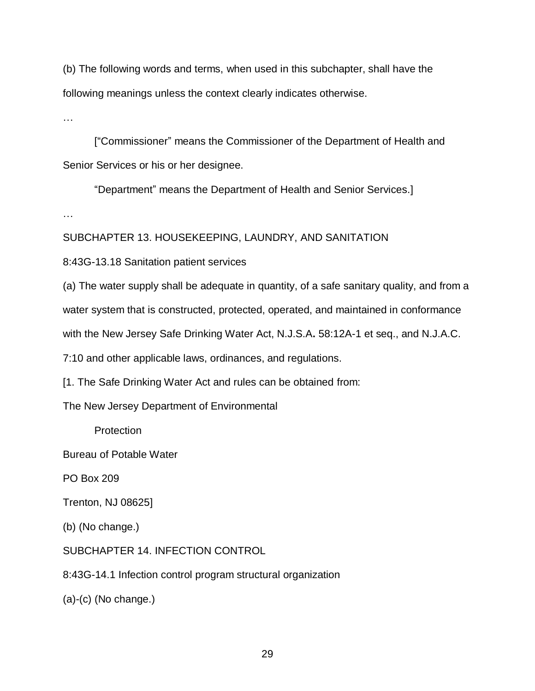(b) The following words and terms, when used in this subchapter, shall have the following meanings unless the context clearly indicates otherwise.

…

["Commissioner" means the Commissioner of the Department of Health and Senior Services or his or her designee.

"Department" means the Department of Health and Senior Services.]

…

SUBCHAPTER 13. HOUSEKEEPING, LAUNDRY, AND SANITATION

8:43G-13.18 Sanitation patient services

(a) The water supply shall be adequate in quantity, of a safe sanitary quality, and from a water system that is constructed, protected, operated, and maintained in conformance

with the New Jersey Safe Drinking Water Act, N.J.S.A**.** 58:12A-1 et seq., and N.J.A.C.

7:10 and other applicable laws, ordinances, and regulations.

[1. The Safe Drinking Water Act and rules can be obtained from:

The New Jersey Department of Environmental

**Protection** 

Bureau of Potable Water

PO Box 209

Trenton, NJ 08625]

(b) (No change.)

SUBCHAPTER 14. INFECTION CONTROL

8:43G-14.1 Infection control program structural organization

(a)-(c) (No change.)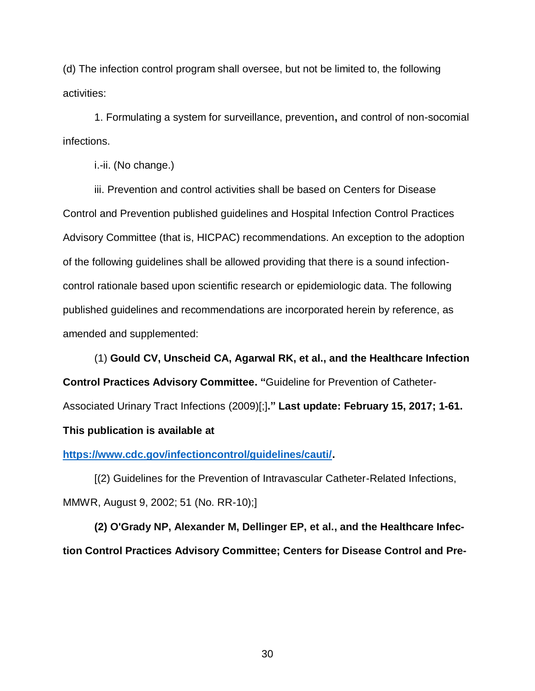(d) The infection control program shall oversee, but not be limited to, the following activities:

1. Formulating a system for surveillance, prevention**,** and control of non-socomial infections.

i.-ii. (No change.)

iii. Prevention and control activities shall be based on Centers for Disease Control and Prevention published guidelines and Hospital Infection Control Practices Advisory Committee (that is, HICPAC) recommendations. An exception to the adoption of the following guidelines shall be allowed providing that there is a sound infectioncontrol rationale based upon scientific research or epidemiologic data. The following published guidelines and recommendations are incorporated herein by reference, as amended and supplemented:

(1) **Gould CV, Unscheid CA, Agarwal RK, et al., and the Healthcare Infection Control Practices Advisory Committee. "**Guideline for Prevention of Catheter-Associated Urinary Tract Infections (2009)[;]**." Last update: February 15, 2017; 1-61. This publication is available at**

**[https://www.cdc.gov/infectioncontrol/guidelines/cauti/.](https://www.cdc.gov/infectioncontrol/guidelines/cauti/)**

[(2) Guidelines for the Prevention of Intravascular Catheter-Related Infections, MMWR, August 9, 2002; 51 (No. RR-10);]

**(2) [O'Grady NP, Alexander M, Dellinger EP, et al., and](http://www.uptodate.com/contents/prevention-of-intravascular-catheter-related-infections/abstract/2) the Healthcare Infec[tion Control Practices Advisory Committee;](http://www.uptodate.com/contents/prevention-of-intravascular-catheter-related-infections/abstract/2) Centers for Disease Control and Pre-**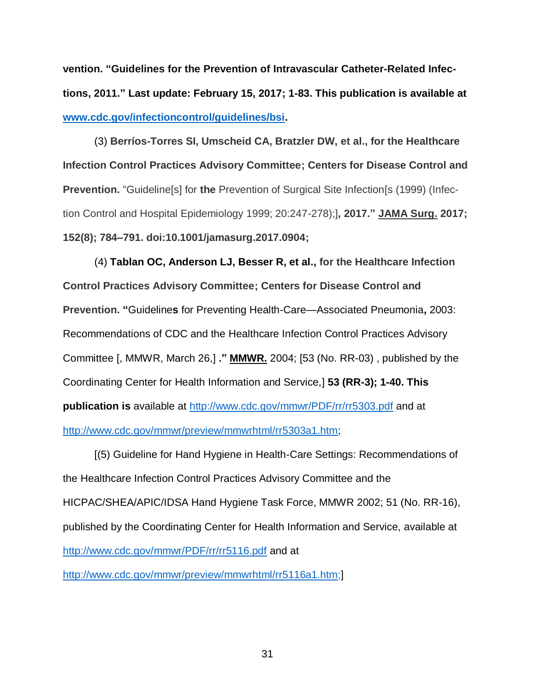**vention. ["Guidelines for the Prevention of Intravascular Catheter-Related Infec](http://www.uptodate.com/contents/prevention-of-intravascular-catheter-related-infections/abstract/2)[tions, 2011."](http://www.uptodate.com/contents/prevention-of-intravascular-catheter-related-infections/abstract/2) Last update: February 15, 2017; 1-83. This publication is available at [www.cdc.gov/infectioncontrol/guidelines/bsi.](http://www.cdc.gov/infectioncontrol/guidelines/bsi)**

(3) **Berríos-Torres SI, Umscheid CA, Bratzler DW, et al., for the Healthcare Infection Control Practices Advisory Committee; Centers for Disease Control and Prevention.** "Guideline[s] for **the** Prevention of Surgical Site Infection[s (1999) (Infection Control and Hospital Epidemiology 1999; 20:247-278);]**, 2017." JAMA Surg. 2017; 152(8); 784–791. doi:10.1001/jamasurg.2017.0904;**

(4) **Tablan OC, Anderson LJ, Besser R, et al., for the Healthcare Infection Control Practices Advisory Committee; Centers for Disease Control and Prevention. "**Guideline**s** for Preventing Health-Care—Associated Pneumonia**,** 2003: Recommendations of CDC and the Healthcare Infection Control Practices Advisory Committee [, MMWR, March 26,] **." MMWR.** 2004; [53 (No. RR-03) , published by the Coordinating Center for Health Information and Service,] **53 (RR-3); 1-40. This publication is** available at<http://www.cdc.gov/mmwr/PDF/rr/rr5303.pdf> and at [http://www.cdc.gov/mmwr/preview/mmwrhtml/rr5303a1.htm;](http://www.cdc.gov/mmwr/preview/mmwrhtml/rr5303a1.htm)

[(5) Guideline for Hand Hygiene in Health-Care Settings: Recommendations of the Healthcare Infection Control Practices Advisory Committee and the HICPAC/SHEA/APIC/IDSA Hand Hygiene Task Force, MMWR 2002; 51 (No. RR-16), published by the Coordinating Center for Health Information and Service, available at <http://www.cdc.gov/mmwr/PDF/rr/rr5116.pdf> and at

[http://www.cdc.gov/mmwr/preview/mmwrhtml/rr5116a1.htm;](http://www.cdc.gov/mmwr/preview/mmwrhtml/rr5116a1.htm)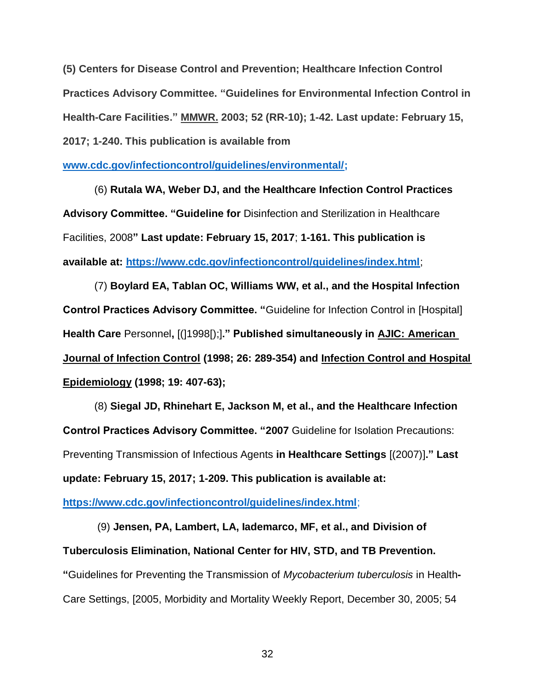**(5) Centers for Disease Control and Prevention; Healthcare Infection Control Practices Advisory Committee. "Guidelines for Environmental Infection Control in Health-Care Facilities." MMWR. 2003; 52 (RR-10); 1-42. Last update: February 15, 2017; 1-240. This publication is available from** 

**[www.cdc.gov/infectioncontrol/guidelines/environmental/;](https://www.cdc.gov/infectioncontrol/guidelines/environmental/)**

(6) **Rutala WA, Weber DJ, and the Healthcare Infection Control Practices Advisory Committee. "Guideline for** Disinfection and Sterilization in Healthcare Facilities, 2008**" Last update: February 15, 2017**; **1-161. This publication is available at:<https://www.cdc.gov/infectioncontrol/guidelines/index.html>**;

(7) **Boylard EA, Tablan OC, Williams WW, et al., and the Hospital Infection Control Practices Advisory Committee. "**Guideline for Infection Control in [Hospital] **Health Care** Personnel**,** [(]1998[);]**." Published simultaneously in AJIC: American Journal of Infection Control (1998; 26: 289-354) and Infection Control and Hospital Epidemiology (1998; 19: 407-63);**

(8) **Siegal JD, Rhinehart E, Jackson M, et al., and the Healthcare Infection Control Practices Advisory Committee. "2007** Guideline for Isolation Precautions: Preventing Transmission of Infectious Agents **in Healthcare Settings** [(2007)]**." Last update: February 15, 2017; 1-209. This publication is available at:** 

**<https://www.cdc.gov/infectioncontrol/guidelines/index.html>**;

(9) **Jensen, PA, Lambert, LA, Iademarco, MF, et al., and Division of Tuberculosis Elimination, National Center for HIV, STD, and TB Prevention. "**Guidelines for Preventing the Transmission of *Mycobacterium tuberculosis* in Health**-**Care Settings, [2005, Morbidity and Mortality Weekly Report, December 30, 2005; 54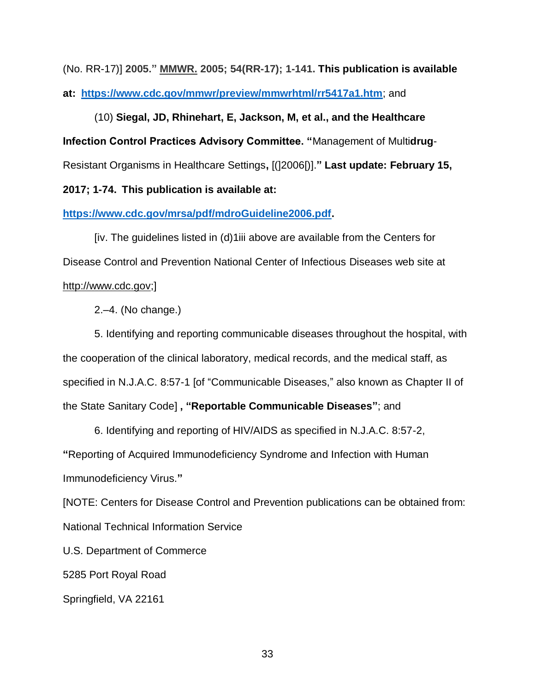(No. RR-17)] **2005." MMWR. 2005; 54(RR-17); 1-141. This publication is available at: <https://www.cdc.gov/mmwr/preview/mmwrhtml/rr5417a1.htm>**; and

(10) **Siegal, JD, Rhinehart, E, Jackson, M, et al., and the Healthcare Infection Control Practices Advisory Committee. "**Management of Multi**drug**-Resistant Organisms in Healthcare Settings**,** [(]2006[)].**" Last update: February 15,** 

**2017; 1-74. This publication is available at:**

**[https://www.cdc.gov/mrsa/pdf/mdroGuideline2006.pdf.](https://www.cdc.gov/mrsa/pdf/mdroGuideline2006.pdf)**

[iv. The guidelines listed in (d)1iii above are available from the Centers for Disease Control and Prevention National Center of Infectious Diseases web site at http://www.cdc.gov;]

2.–4. (No change.)

5. Identifying and reporting communicable diseases throughout the hospital, with the cooperation of the clinical laboratory, medical records, and the medical staff, as specified in N.J.A.C. 8:57-1 [of "Communicable Diseases," also known as Chapter II of the State Sanitary Code] **, "Reportable Communicable Diseases"**; and

6. Identifying and reporting of HIV/AIDS as specified in N.J.A.C. 8:57-2, **"**Reporting of Acquired Immunodeficiency Syndrome and Infection with Human Immunodeficiency Virus.**"**

[NOTE: Centers for Disease Control and Prevention publications can be obtained from: National Technical Information Service

U.S. Department of Commerce

5285 Port Royal Road

Springfield, VA 22161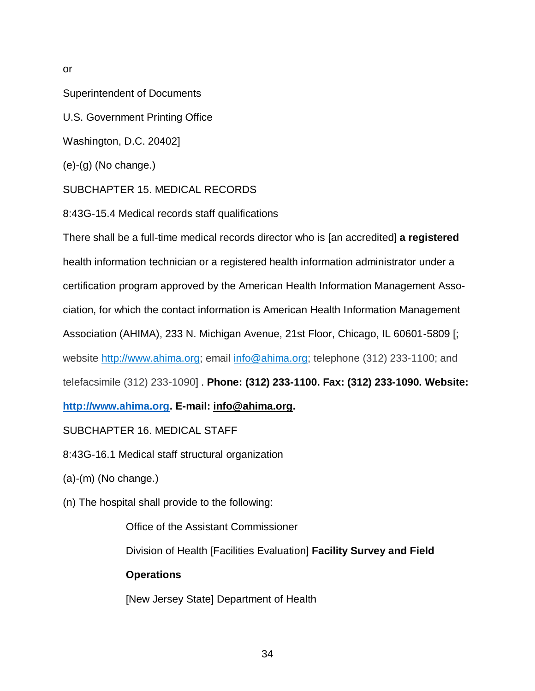or

Superintendent of Documents

U.S. Government Printing Office

Washington, D.C. 20402]

(e)-(g) (No change.)

SUBCHAPTER 15. MEDICAL RECORDS

8:43G-15.4 Medical records staff qualifications

There shall be a full-time medical records director who is [an accredited] **a registered** health information technician or a registered health information administrator under a certification program approved by the American Health Information Management Association, for which the contact information is American Health Information Management Association (AHIMA), 233 N. Michigan Avenue, 21st Floor, Chicago, IL 60601-5809 [; website [http://www.ahima.org;](http://www.ahima.org/) email [info@ahima.org;](mailto:info@ahima.org) telephone (312) 233-1100; and telefacsimile (312) 233-1090] . **Phone: (312) 233-1100. Fax: (312) 233-1090. Website:**

**[http://www.ahima.org.](http://www.ahima.org/) E-mail: info@ahima.org.**

SUBCHAPTER 16. MEDICAL STAFF

8:43G-16.1 Medical staff structural organization

(a)-(m) (No change.)

(n) The hospital shall provide to the following:

Office of the Assistant Commissioner

Division of Health [Facilities Evaluation] **Facility Survey and Field** 

# **Operations**

[New Jersey State] Department of Health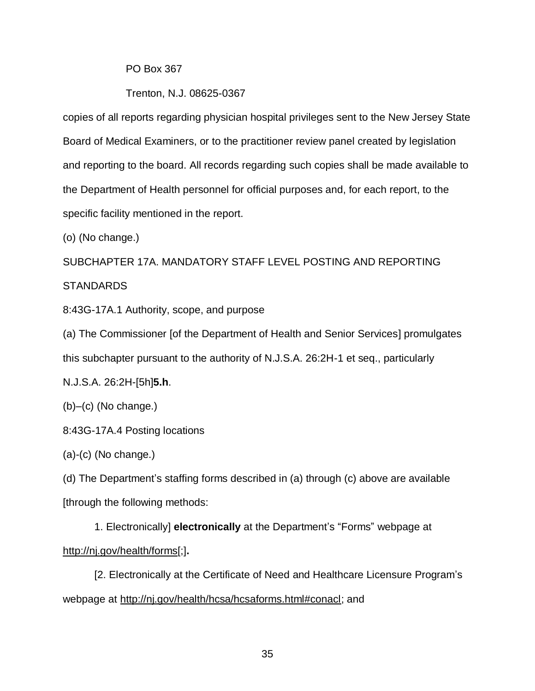### PO Box 367

#### Trenton, N.J. 08625-0367

copies of all reports regarding physician hospital privileges sent to the New Jersey State Board of Medical Examiners, or to the practitioner review panel created by legislation and reporting to the board. All records regarding such copies shall be made available to the Department of Health personnel for official purposes and, for each report, to the specific facility mentioned in the report.

(o) (No change.)

SUBCHAPTER 17A. MANDATORY STAFF LEVEL POSTING AND REPORTING STANDARDS

8:43G-17A.1 Authority, scope, and purpose

(a) The Commissioner [of the Department of Health and Senior Services] promulgates this subchapter pursuant to the authority of N.J.S.A. 26:2H-1 et seq., particularly

N.J.S.A. 26:2H-[5h]**5.h**.

(b)–(c) (No change.)

8:43G-17A.4 Posting locations

 $(a)-(c)$  (No change.)

(d) The Department's staffing forms described in (a) through (c) above are available [through the following methods:

1. Electronically] **electronically** at the Department's "Forms" webpage at http://nj.gov/health/forms[;]**.**

[2. Electronically at the Certificate of Need and Healthcare Licensure Program's webpage at http://nj.gov/health/hcsa/hcsaforms.html#conacl; and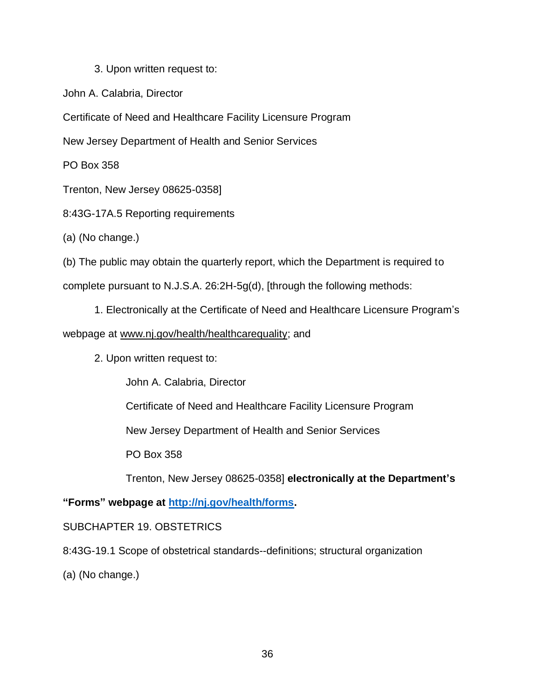# 3. Upon written request to:

John A. Calabria, Director

Certificate of Need and Healthcare Facility Licensure Program

New Jersey Department of Health and Senior Services

PO Box 358

Trenton, New Jersey 08625-0358]

8:43G-17A.5 Reporting requirements

(a) (No change.)

(b) The public may obtain the quarterly report, which the Department is required to

complete pursuant to N.J.S.A. 26:2H-5g(d), [through the following methods:

1. Electronically at the Certificate of Need and Healthcare Licensure Program's

# webpage at www.nj.gov/health/healthcarequality; and

2. Upon written request to:

John A. Calabria, Director

Certificate of Need and Healthcare Facility Licensure Program

New Jersey Department of Health and Senior Services

PO Box 358

Trenton, New Jersey 08625-0358] **electronically at the Department's** 

**"Forms" webpage at [http://nj.gov/health/forms.](http://nj.gov/health/forms)**

SUBCHAPTER 19. OBSTETRICS

8:43G-19.1 Scope of obstetrical standards--definitions; structural organization

(a) (No change.)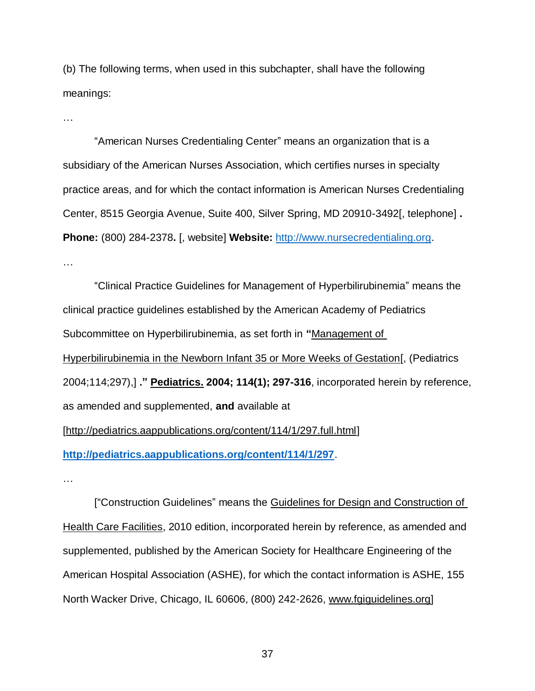(b) The following terms, when used in this subchapter, shall have the following meanings:

…

"American Nurses Credentialing Center" means an organization that is a subsidiary of the American Nurses Association, which certifies nurses in specialty practice areas, and for which the contact information is American Nurses Credentialing Center, 8515 Georgia Avenue, Suite 400, Silver Spring, MD 20910-3492[, telephone] **. Phone:** (800) 284-2378**.** [, website] **Website:** [http://www.nursecredentialing.org.](http://www.nursecredentialing.org/) …

"Clinical Practice Guidelines for Management of Hyperbilirubinemia" means the clinical practice guidelines established by the American Academy of Pediatrics Subcommittee on Hyperbilirubinemia, as set forth in **"**Management of Hyperbilirubinemia in the Newborn Infant 35 or More Weeks of Gestation[, (Pediatrics 2004;114;297),] **." Pediatrics. 2004; 114(1); 297-316**, incorporated herein by reference, as amended and supplemented, **and** available at [http://pediatrics.aappublications.org/content/114/1/297.full.html] **<http://pediatrics.aappublications.org/content/114/1/297>**.

…

["Construction Guidelines" means the Guidelines for Design and Construction of Health Care Facilities, 2010 edition, incorporated herein by reference, as amended and supplemented, published by the American Society for Healthcare Engineering of the American Hospital Association (ASHE), for which the contact information is ASHE, 155 North Wacker Drive, Chicago, IL 60606, (800) 242-2626, www.fgiguidelines.org]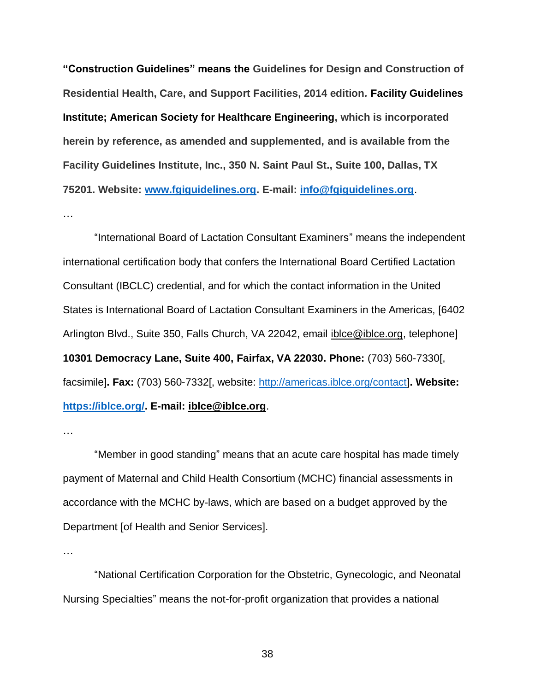**"Construction Guidelines" means the Guidelines for Design and Construction of Residential Health, Care, and Support Facilities, 2014 edition***.* **Facility Guidelines Institute; American Society for Healthcare Engineering, which is incorporated herein by reference, as amended and supplemented, and is available from the Facility Guidelines Institute, Inc., 350 N. Saint Paul St., Suite 100, Dallas, TX 75201. Website: [www.fgiguidelines.org.](http://www.fgiguidelines.org/) E-mail: [info@fgiguidelines.org](mailto:info@fgiguidelines.org)**. …

"International Board of Lactation Consultant Examiners" means the independent international certification body that confers the International Board Certified Lactation Consultant (IBCLC) credential, and for which the contact information in the United States is International Board of Lactation Consultant Examiners in the Americas, [6402 Arlington Blvd., Suite 350, Falls Church, VA 22042, email *iblce@iblce.org*, telephone] **10301 Democracy Lane, Suite 400, Fairfax, VA 22030. Phone:** (703) 560-7330[, facsimile]**. Fax:** (703) 560-7332[, website: [http://americas.iblce.org/contact\]](http://americas.iblce.org/contact)**. Website: [https://iblce.org/.](https://iblce.org/) E-mail: iblce@iblce.org**.

…

"Member in good standing" means that an acute care hospital has made timely payment of Maternal and Child Health Consortium (MCHC) financial assessments in accordance with the MCHC by-laws, which are based on a budget approved by the Department [of Health and Senior Services].

…

"National Certification Corporation for the Obstetric, Gynecologic, and Neonatal Nursing Specialties" means the not-for-profit organization that provides a national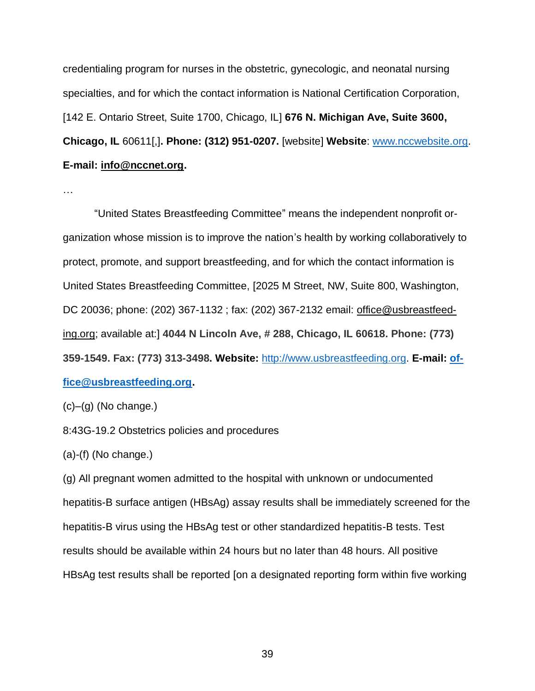credentialing program for nurses in the obstetric, gynecologic, and neonatal nursing specialties, and for which the contact information is National Certification Corporation, [142 E. Ontario Street, Suite 1700, Chicago, IL] **676 N. Michigan Ave, Suite 3600, Chicago, IL** 60611[,]**. Phone: (312) 951-0207.** [website] **Website**: [www.nccwebsite.org.](http://www.nccwebsite.org/) **E-mail: info@nccnet.org.**

…

"United States Breastfeeding Committee" means the independent nonprofit organization whose mission is to improve the nation's health by working collaboratively to protect, promote, and support breastfeeding, and for which the contact information is United States Breastfeeding Committee, [2025 M Street, NW, Suite 800, Washington, DC 20036; phone: (202) 367-1132; fax: (202) 367-2132 email: office@usbreastfeeding.org; available at:] **4044 N Lincoln Ave, # 288, Chicago, IL 60618. Phone: (773) 359-1549. Fax: (773) 313-3498. Website:** [http://www.usbreastfeeding.org.](http://www.usbreastfeeding.org/) **E-mail: [of](mailto:office@usbreastfeeding.org)[fice@usbreastfeeding.org.](mailto:office@usbreastfeeding.org)**

 $(c)$ – $(g)$  (No change.)

8:43G-19.2 Obstetrics policies and procedures

(a)-(f) (No change.)

(g) All pregnant women admitted to the hospital with unknown or undocumented hepatitis-B surface antigen (HBsAg) assay results shall be immediately screened for the hepatitis-B virus using the HBsAg test or other standardized hepatitis-B tests. Test results should be available within 24 hours but no later than 48 hours. All positive HBsAg test results shall be reported [on a designated reporting form within five working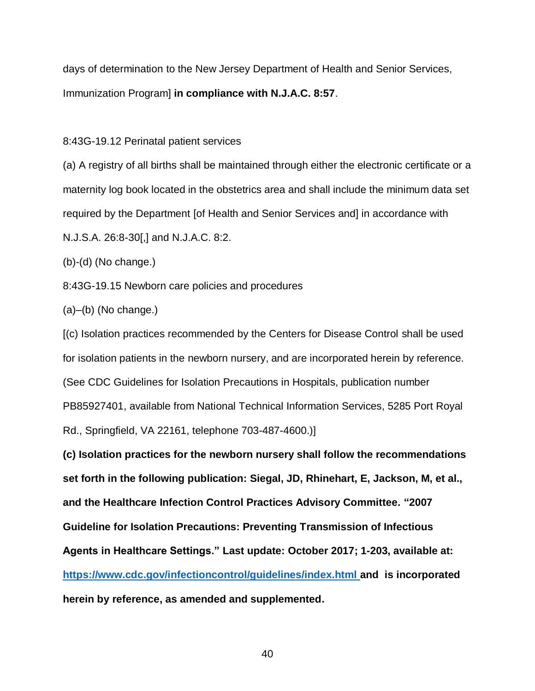days of determination to the New Jersey Department of Health and Senior Services, Immunization Program] **in compliance with N.J.A.C. 8:57**.

8:43G-19.12 Perinatal patient services

(a) A registry of all births shall be maintained through either the electronic certificate or a maternity log book located in the obstetrics area and shall include the minimum data set required by the Department [of Health and Senior Services and] in accordance with N.J.S.A. 26:8-30[,] and N.J.A.C. 8:2.

(b)-(d) (No change.)

8:43G-19.15 Newborn care policies and procedures

(a)–(b) (No change.)

[(c) Isolation practices recommended by the Centers for Disease Control shall be used for isolation patients in the newborn nursery, and are incorporated herein by reference. (See CDC Guidelines for Isolation Precautions in Hospitals, publication number PB85927401, available from National Technical Information Services, 5285 Port Royal Rd., Springfield, VA 22161, telephone 703-487-4600.)]

**(c) Isolation practices for the newborn nursery shall follow the recommendations set forth in the following publication: Siegal, JD, Rhinehart, E, Jackson, M, et al., and the Healthcare Infection Control Practices Advisory Committee. "2007 Guideline for Isolation Precautions: Preventing Transmission of Infectious Agents in Healthcare Settings." Last update: October 2017; 1-203, available at: <https://www.cdc.gov/infectioncontrol/guidelines/index.html> and is incorporated herein by reference, as amended and supplemented.**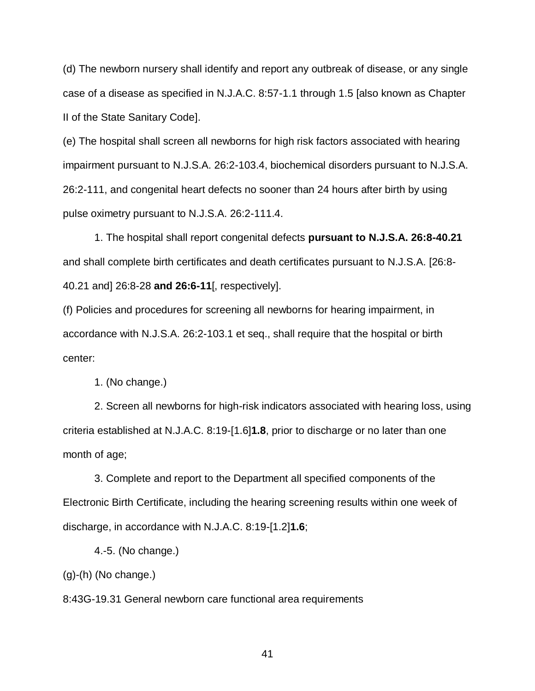(d) The newborn nursery shall identify and report any outbreak of disease, or any single case of a disease as specified in N.J.A.C. 8:57-1.1 through 1.5 [also known as Chapter II of the State Sanitary Code].

(e) The hospital shall screen all newborns for high risk factors associated with hearing impairment pursuant to N.J.S.A. 26:2-103.4, biochemical disorders pursuant to N.J.S.A. 26:2-111, and congenital heart defects no sooner than 24 hours after birth by using pulse oximetry pursuant to N.J.S.A. 26:2-111.4.

1. The hospital shall report congenital defects **pursuant to N.J.S.A. 26:8-40.21**  and shall complete birth certificates and death certificates pursuant to N.J.S.A. [26:8- 40.21 and] 26:8-28 **and 26:6-11**[, respectively].

(f) Policies and procedures for screening all newborns for hearing impairment, in accordance with N.J.S.A. 26:2-103.1 et seq., shall require that the hospital or birth center:

1. (No change.)

2. Screen all newborns for high-risk indicators associated with hearing loss, using criteria established at N.J.A.C. 8:19-[1.6]**1.8**, prior to discharge or no later than one month of age;

3. Complete and report to the Department all specified components of the Electronic Birth Certificate, including the hearing screening results within one week of discharge, in accordance with N.J.A.C. 8:19-[1.2]**1.6**;

4.-5. (No change.)

(g)-(h) (No change.)

8:43G-19.31 General newborn care functional area requirements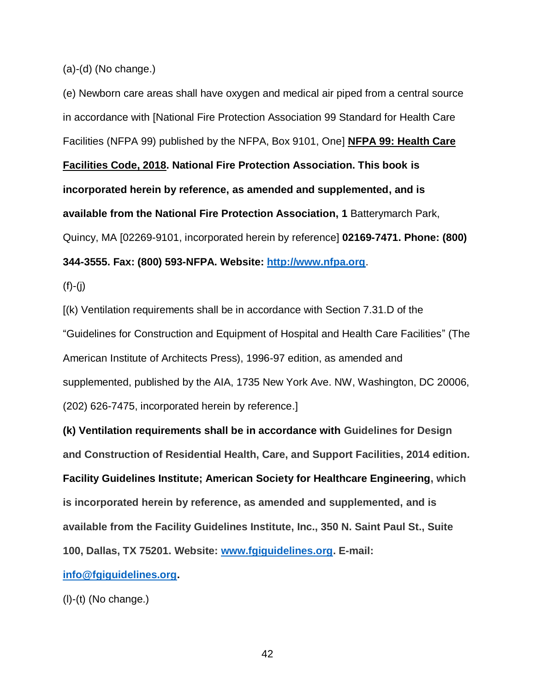(a)-(d) (No change.)

(e) Newborn care areas shall have oxygen and medical air piped from a central source in accordance with [National Fire Protection Association 99 Standard for Health Care Facilities (NFPA 99) published by the NFPA, Box 9101, One] **NFPA 99: Health Care Facilities Code, 2018. National Fire Protection Association. This book is incorporated herein by reference, as amended and supplemented, and is available from the National Fire Protection Association, 1** Batterymarch Park, Quincy, MA [02269-9101, incorporated herein by reference] **02169-7471. Phone: (800) 344-3555. Fax: (800) 593-NFPA. Website: [http://www.nfpa.org](http://www.nfpa.org/)**.

 $(f)-(i)$ 

[(k) Ventilation requirements shall be in accordance with Section 7.31.D of the "Guidelines for Construction and Equipment of Hospital and Health Care Facilities" (The American Institute of Architects Press), 1996-97 edition, as amended and supplemented, published by the AIA, 1735 New York Ave. NW, Washington, DC 20006, (202) 626-7475, incorporated herein by reference.]

**(k) Ventilation requirements shall be in accordance with Guidelines for Design and Construction of Residential Health, Care, and Support Facilities, 2014 edition***.* **Facility Guidelines Institute; American Society for Healthcare Engineering, which is incorporated herein by reference, as amended and supplemented, and is available from the Facility Guidelines Institute, Inc., 350 N. Saint Paul St., Suite 100, Dallas, TX 75201. Website: [www.fgiguidelines.org.](http://www.fgiguidelines.org/) E-mail:**

**[info@fgiguidelines.org.](mailto:info@fgiguidelines.org)**

(l)-(t) (No change.)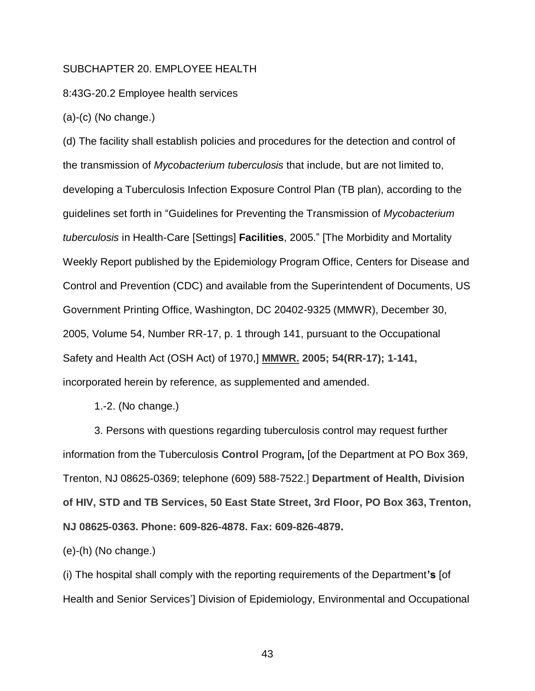#### SUBCHAPTER 20. EMPLOYEE HEALTH

### 8:43G-20.2 Employee health services

(a)-(c) (No change.)

(d) The facility shall establish policies and procedures for the detection and control of the transmission of *Mycobacterium tuberculosis* that include, but are not limited to, developing a Tuberculosis Infection Exposure Control Plan (TB plan), according to the guidelines set forth in "Guidelines for Preventing the Transmission of *Mycobacterium tuberculosis* in Health-Care [Settings] **Facilities**, 2005." [The Morbidity and Mortality Weekly Report published by the Epidemiology Program Office, Centers for Disease and Control and Prevention (CDC) and available from the Superintendent of Documents, US Government Printing Office, Washington, DC 20402-9325 (MMWR), December 30, 2005, Volume 54, Number RR-17, p. 1 through 141, pursuant to the Occupational Safety and Health Act (OSH Act) of 1970,] **MMWR. 2005; 54(RR-17); 1-141,**  incorporated herein by reference, as supplemented and amended.

1.-2. (No change.)

3. Persons with questions regarding tuberculosis control may request further information from the Tuberculosis **Control** Program**,** [of the Department at PO Box 369, Trenton, NJ 08625-0369; telephone (609) 588-7522.] **Department of Health, Division of HIV, STD and TB Services, 50 East State Street, 3rd Floor, PO Box 363, Trenton, NJ 08625-0363. Phone: 609-826-4878. Fax: 609-826-4879.**

(e)-(h) (No change.)

(i) The hospital shall comply with the reporting requirements of the Department**'s** [of Health and Senior Services'] Division of Epidemiology, Environmental and Occupational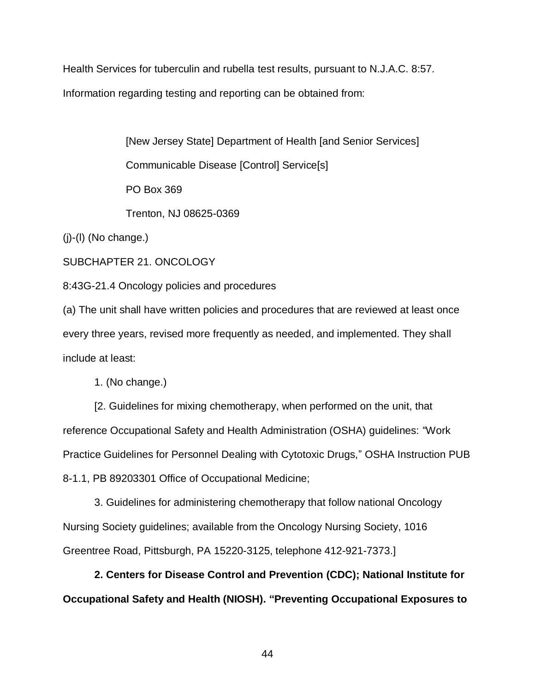Health Services for tuberculin and rubella test results, pursuant to N.J.A.C. 8:57. Information regarding testing and reporting can be obtained from:

> [New Jersey State] Department of Health [and Senior Services] Communicable Disease [Control] Service[s] PO Box 369

 $(j)-(l)$  (No change.)

SUBCHAPTER 21. ONCOLOGY

8:43G-21.4 Oncology policies and procedures

Trenton, NJ 08625-0369

(a) The unit shall have written policies and procedures that are reviewed at least once every three years, revised more frequently as needed, and implemented. They shall include at least:

1. (No change.)

[2. Guidelines for mixing chemotherapy, when performed on the unit, that reference Occupational Safety and Health Administration (OSHA) guidelines: "Work Practice Guidelines for Personnel Dealing with Cytotoxic Drugs," OSHA Instruction PUB 8-1.1, PB 89203301 Office of Occupational Medicine;

3. Guidelines for administering chemotherapy that follow national Oncology Nursing Society guidelines; available from the Oncology Nursing Society, 1016 Greentree Road, Pittsburgh, PA 15220-3125, telephone 412-921-7373.]

**2. Centers for Disease Control and Prevention (CDC); National Institute for Occupational Safety and Health (NIOSH). "Preventing Occupational Exposures to**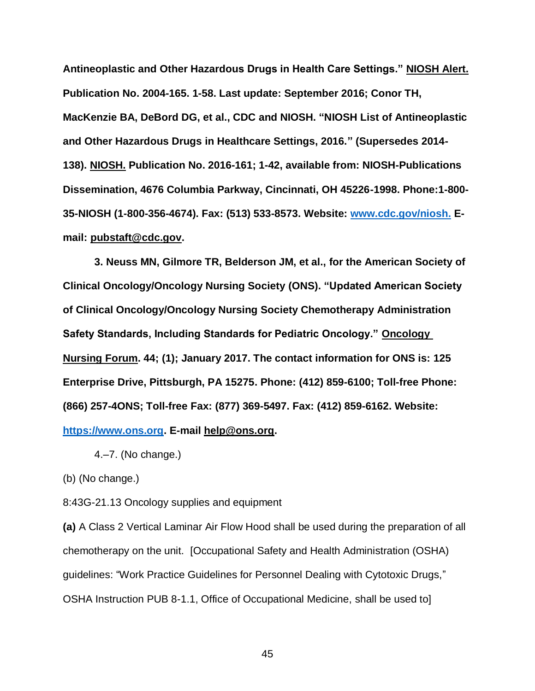**Antineoplastic and Other Hazardous Drugs in Health Care Settings." NIOSH Alert. Publication No. 2004-165. 1-58. Last update: September 2016; Conor TH, MacKenzie BA, DeBord DG, et al., CDC and NIOSH. "NIOSH List of Antineoplastic and Other Hazardous Drugs in Healthcare Settings, 2016." (Supersedes 2014- 138). NIOSH. Publication No. 2016-161; 1-42, available from: NIOSH-Publications Dissemination, 4676 Columbia Parkway, Cincinnati, OH 45226-1998. Phone:1-800- 35-NIOSH (1-800-356-4674). Fax: (513) 533-8573. Website: [www.cdc.gov/niosh.](http://www.cdc.gov/niosh) Email: pubstaft@cdc.gov.**

**3. Neuss MN, Gilmore TR, Belderson JM, et al., for the American Society of Clinical Oncology/Oncology Nursing Society (ONS). "Updated American Society of Clinical Oncology/Oncology Nursing Society Chemotherapy Administration Safety Standards, Including Standards for Pediatric Oncology." Oncology Nursing Forum. 44; (1); January 2017. The contact information for ONS is: 125 Enterprise Drive, Pittsburgh, PA 15275. Phone: (412) 859-6100; Toll-free Phone: (866) 257-4ONS; Toll-free Fax: (877) 369-5497. Fax: (412) 859-6162. Website: [https://www.ons.org.](https://www.ons.org/) E-mail [help@ons.org.](mailto:help@ons.org)**

4.–7. (No change.)

(b) (No change.)

8:43G-21.13 Oncology supplies and equipment

**(a)** A Class 2 Vertical Laminar Air Flow Hood shall be used during the preparation of all chemotherapy on the unit. [Occupational Safety and Health Administration (OSHA) guidelines: "Work Practice Guidelines for Personnel Dealing with Cytotoxic Drugs," OSHA Instruction PUB 8-1.1, Office of Occupational Medicine, shall be used to]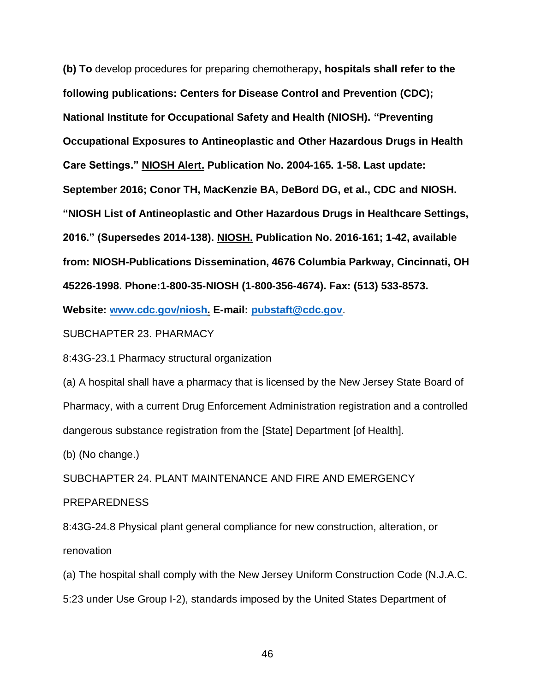**(b) To** develop procedures for preparing chemotherapy**, hospitals shall refer to the following publications: Centers for Disease Control and Prevention (CDC); National Institute for Occupational Safety and Health (NIOSH). "Preventing Occupational Exposures to Antineoplastic and Other Hazardous Drugs in Health Care Settings." NIOSH Alert. Publication No. 2004-165. 1-58. Last update: September 2016; Conor TH, MacKenzie BA, DeBord DG, et al., CDC and NIOSH. "NIOSH List of Antineoplastic and Other Hazardous Drugs in Healthcare Settings, 2016." (Supersedes 2014-138). NIOSH. Publication No. 2016-161; 1-42, available from: NIOSH-Publications Dissemination, 4676 Columbia Parkway, Cincinnati, OH 45226-1998. Phone:1-800-35-NIOSH (1-800-356-4674). Fax: (513) 533-8573.**

**Website: [www.cdc.gov/niosh.](http://www.cdc.gov/niosh) E-mail: [pubstaft@cdc.gov](mailto:pubstaft@cdc.gov)**.

SUBCHAPTER 23. PHARMACY

8:43G-23.1 Pharmacy structural organization

(a) A hospital shall have a pharmacy that is licensed by the New Jersey State Board of Pharmacy, with a current Drug Enforcement Administration registration and a controlled dangerous substance registration from the [State] Department [of Health].

(b) (No change.)

SUBCHAPTER 24. PLANT MAINTENANCE AND FIRE AND EMERGENCY

# PREPAREDNESS

8:43G-24.8 Physical plant general compliance for new construction, alteration, or renovation

(a) The hospital shall comply with the New Jersey Uniform Construction Code (N.J.A.C.

5:23 under Use Group I-2), standards imposed by the United States Department of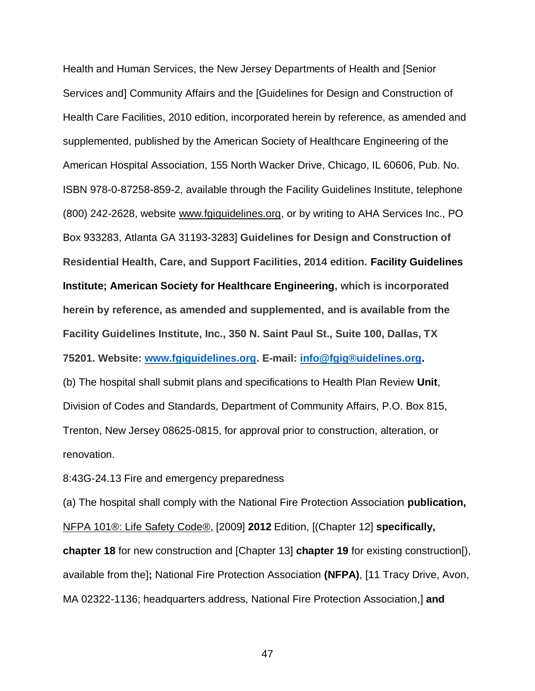Health and Human Services, the New Jersey Departments of Health and [Senior Services and] Community Affairs and the [Guidelines for Design and Construction of Health Care Facilities, 2010 edition, incorporated herein by reference, as amended and supplemented, published by the American Society of Healthcare Engineering of the American Hospital Association, 155 North Wacker Drive, Chicago, IL 60606, Pub. No. ISBN 978-0-87258-859-2, available through the Facility Guidelines Institute, telephone (800) 242-2628, website www.fgiguidelines.org, or by writing to AHA Services Inc., PO Box 933283, Atlanta GA 31193-3283] **Guidelines for Design and Construction of Residential Health, Care, and Support Facilities, 2014 edition. Facility Guidelines Institute; American Society for Healthcare Engineering, which is incorporated herein by reference, as amended and supplemented, and is available from the Facility Guidelines Institute, Inc., 350 N. Saint Paul St., Suite 100, Dallas, TX 75201. Website: [www.fgiguidelines.org.](http://www.fgiguidelines.org/) E-mail: [info@fgig®uidelines.org.](mailto:info@fgiguidelines.org)** (b) The hospital shall submit plans and specifications to Health Plan Review **Unit**, Division of Codes and Standards, Department of Community Affairs, P.O. Box 815, Trenton, New Jersey 08625-0815, for approval prior to construction, alteration, or renovation.

8:43G-24.13 Fire and emergency preparedness

(a) The hospital shall comply with the National Fire Protection Association **publication,**  NFPA 101®: Life Safety Code®, [2009] **2012** Edition, [(Chapter 12] **specifically, chapter 18** for new construction and [Chapter 13] **chapter 19** for existing construction[), available from the]**;** National Fire Protection Association **(NFPA)**, [11 Tracy Drive, Avon, MA 02322-1136; headquarters address, National Fire Protection Association,] **and**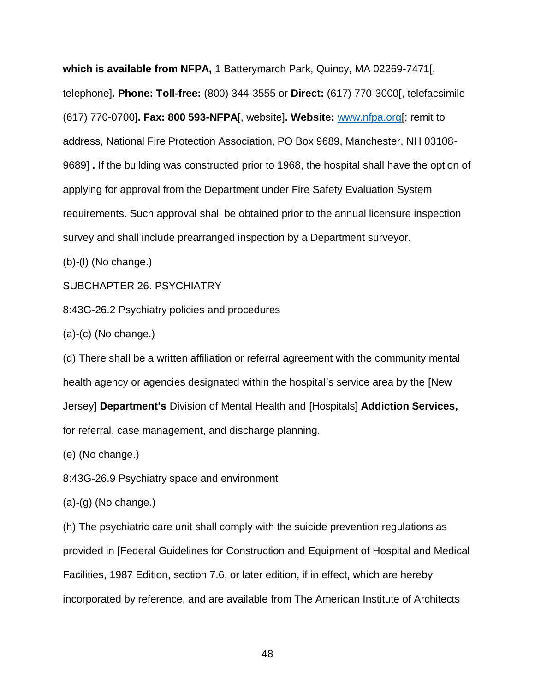**which is available from NFPA,** 1 Batterymarch Park, Quincy, MA 02269-7471[, telephone]**. Phone: Toll-free:** (800) 344-3555 or **Direct:** (617) 770-3000[, telefacsimile (617) 770-0700]**. Fax: 800 593-NFPA**[, website]**. Website:** [www.nfpa.org\[](http://www.nfpa.org/); remit to address, National Fire Protection Association, PO Box 9689, Manchester, NH 03108- 9689] **.** If the building was constructed prior to 1968, the hospital shall have the option of applying for approval from the Department under Fire Safety Evaluation System requirements. Such approval shall be obtained prior to the annual licensure inspection survey and shall include prearranged inspection by a Department surveyor.

(b)-(l) (No change.)

### SUBCHAPTER 26. PSYCHIATRY

8:43G-26.2 Psychiatry policies and procedures

 $(a)-(c)$  (No change.)

(d) There shall be a written affiliation or referral agreement with the community mental health agency or agencies designated within the hospital's service area by the [New Jersey] **Department's** Division of Mental Health and [Hospitals] **Addiction Services,** for referral, case management, and discharge planning.

(e) (No change.)

8:43G-26.9 Psychiatry space and environment

(a)-(g) (No change.)

(h) The psychiatric care unit shall comply with the suicide prevention regulations as provided in [Federal Guidelines for Construction and Equipment of Hospital and Medical Facilities, 1987 Edition, section 7.6, or later edition, if in effect, which are hereby incorporated by reference, and are available from The American Institute of Architects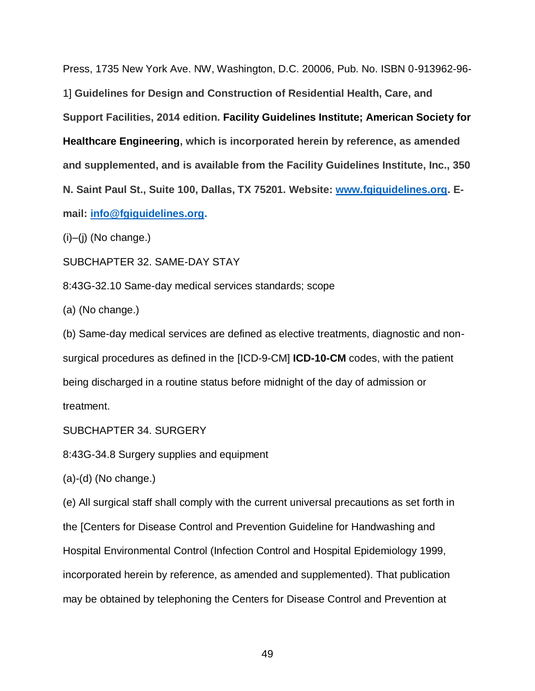Press, 1735 New York Ave. NW, Washington, D.C. 20006, Pub. No. ISBN 0-913962-96- 1] **Guidelines for Design and Construction of Residential Health, Care, and Support Facilities, 2014 edition***.* **Facility Guidelines Institute; American Society for Healthcare Engineering, which is incorporated herein by reference, as amended and supplemented, and is available from the Facility Guidelines Institute, Inc., 350 N. Saint Paul St., Suite 100, Dallas, TX 75201. Website: [www.fgiguidelines.org.](http://www.fgiguidelines.org/) Email: [info@fgiguidelines.org.](mailto:info@fgiguidelines.org)**

 $(i)$ – $(i)$  (No change.)

SUBCHAPTER 32. SAME-DAY STAY

8:43G-32.10 Same-day medical services standards; scope

(a) (No change.)

(b) Same-day medical services are defined as elective treatments, diagnostic and nonsurgical procedures as defined in the [ICD-9-CM] **ICD-10-CM** codes, with the patient being discharged in a routine status before midnight of the day of admission or treatment.

SUBCHAPTER 34. SURGERY

8:43G-34.8 Surgery supplies and equipment

(a)-(d) (No change.)

(e) All surgical staff shall comply with the current universal precautions as set forth in the [Centers for Disease Control and Prevention Guideline for Handwashing and Hospital Environmental Control (Infection Control and Hospital Epidemiology 1999, incorporated herein by reference, as amended and supplemented). That publication may be obtained by telephoning the Centers for Disease Control and Prevention at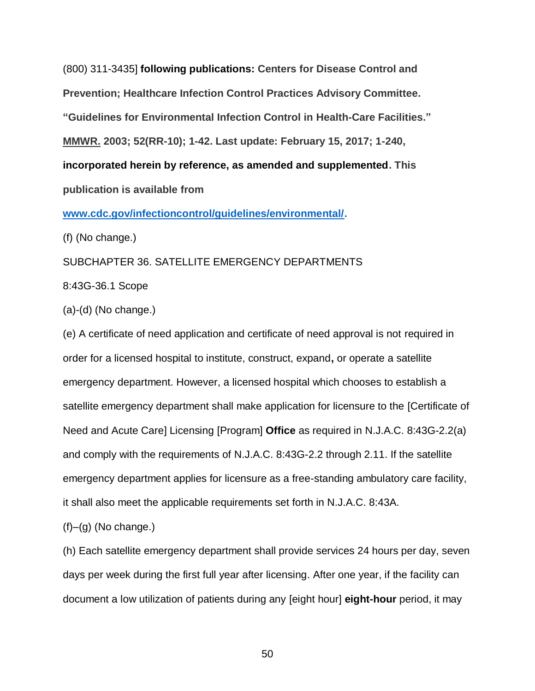(800) 311-3435] **following publications: Centers for Disease Control and Prevention; Healthcare Infection Control Practices Advisory Committee. "Guidelines for Environmental Infection Control in Health-Care Facilities." MMWR. 2003; 52(RR-10); 1-42. Last update: February 15, 2017; 1-240, incorporated herein by reference, as amended and supplemented. This publication is available from** 

**[www.cdc.gov/infectioncontrol/guidelines/environmental/.](https://www.cdc.gov/infectioncontrol/guidelines/environmental/)**

(f) (No change.)

SUBCHAPTER 36. SATELLITE EMERGENCY DEPARTMENTS

8:43G-36.1 Scope

(a)-(d) (No change.)

(e) A certificate of need application and certificate of need approval is not required in order for a licensed hospital to institute, construct, expand**,** or operate a satellite emergency department. However, a licensed hospital which chooses to establish a satellite emergency department shall make application for licensure to the [Certificate of Need and Acute Care] Licensing [Program] **Office** as required in N.J.A.C. 8:43G-2.2(a) and comply with the requirements of N.J.A.C. 8:43G-2.2 through 2.11. If the satellite emergency department applies for licensure as a free-standing ambulatory care facility, it shall also meet the applicable requirements set forth in N.J.A.C. 8:43A.

 $(f)$ – $(g)$  (No change.)

(h) Each satellite emergency department shall provide services 24 hours per day, seven days per week during the first full year after licensing. After one year, if the facility can document a low utilization of patients during any [eight hour] **eight-hour** period, it may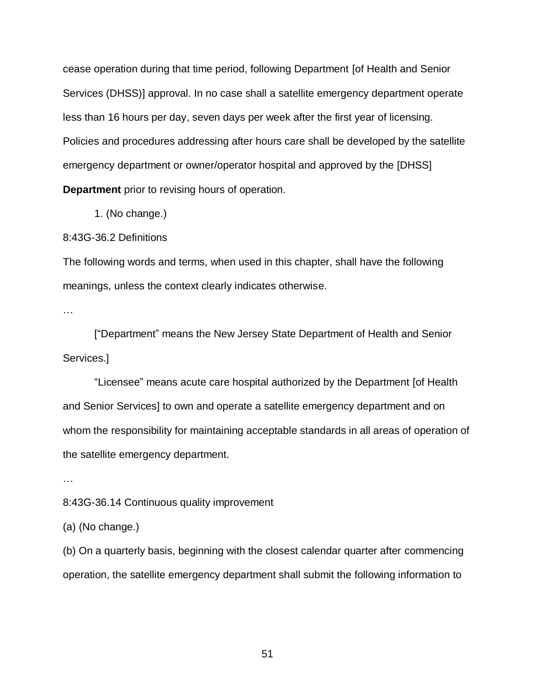cease operation during that time period, following Department [of Health and Senior Services (DHSS)] approval. In no case shall a satellite emergency department operate less than 16 hours per day, seven days per week after the first year of licensing. Policies and procedures addressing after hours care shall be developed by the satellite emergency department or owner/operator hospital and approved by the [DHSS] **Department** prior to revising hours of operation.

1. (No change.)

8:43G-36.2 Definitions

The following words and terms, when used in this chapter, shall have the following meanings, unless the context clearly indicates otherwise.

…

["Department" means the New Jersey State Department of Health and Senior Services.]

"Licensee" means acute care hospital authorized by the Department [of Health and Senior Services] to own and operate a satellite emergency department and on whom the responsibility for maintaining acceptable standards in all areas of operation of the satellite emergency department.

…

8:43G-36.14 Continuous quality improvement

(a) (No change.)

(b) On a quarterly basis, beginning with the closest calendar quarter after commencing operation, the satellite emergency department shall submit the following information to